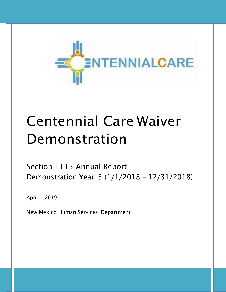

# Centennial Care Waiver Demonstration

Section 1115 Annual Report Demonstration Year: 5 (1/1/2018 – 12/31/2018)

April 1,2019

New Mexico Human Services Department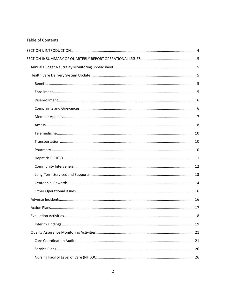# Table of Contents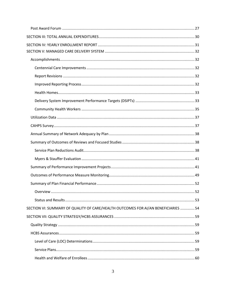| SECTION VI: SUMMARY OF QUALITY OF CARE/HEALTH OUTCOMES FOR AI/AN BENEFICIARIES  54 |  |
|------------------------------------------------------------------------------------|--|
|                                                                                    |  |
|                                                                                    |  |
|                                                                                    |  |
|                                                                                    |  |
|                                                                                    |  |
|                                                                                    |  |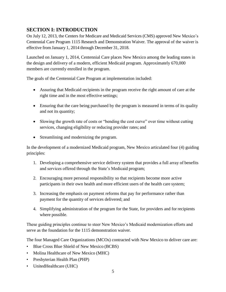# <span id="page-4-0"></span>**SECTION I: INTRODUCTION**

On July 12, 2013, the Centers for Medicare and Medicaid Services (CMS) approved New Mexico's Centennial Care Program 1115 Research and Demonstration Waiver. The approval of the waiver is effective from January 1, 2014 through December 31, 2018.

Launched on January 1, 2014, Centennial Care places New Mexico among the leading states in the design and delivery of a modern, efficient Medicaid program. Approximately 670,000 members are currently enrolled in the program.

The goals of the Centennial Care Program at implementation included:

- Assuring that Medicaid recipients in the program receive the right amount of care at the right time and in the most effective settings;
- Ensuring that the care being purchased by the program is measured in terms of its quality and not its quantity;
- Slowing the growth rate of costs or "bending the cost curve" over time without cutting services, changing eligibility or reducing provider rates; and
- Streamlining and modernizing the program.

In the development of a modernized Medicaid program, New Mexico articulated four (4) guiding principles:

- 1. Developing a comprehensive service delivery system that provides a full array of benefits and services offered through the State's Medicaid program;
- 2. Encouraging more personal responsibility so that recipients become more active participants in their own health and more efficient users of the health care system;
- 3. Increasing the emphasis on payment reforms that pay for performance rather than payment for the quantity of services delivered; and
- 4. Simplifying administration of the program for the State, for providers and for recipients where possible.

These guiding principles continue to steer New Mexico's Medicaid modernization efforts and serve as the foundation for the 1115 demonstration waiver.

The four Managed Care Organizations (MCOs) contracted with New Mexico to deliver care are:

- Blue Cross Blue Shield of New Mexico (BCBS)
- Molina Healthcare of New Mexico (MHC)
- Presbyterian Health Plan (PHP)
- UnitedHealthcare (UHC)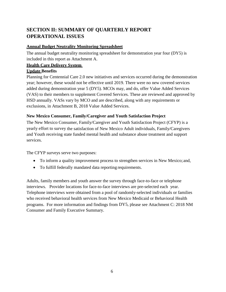# <span id="page-5-0"></span>**SECTION II: SUMMARY OF QUARTERLY REPORT OPERATIONAL ISSUES**

# <span id="page-5-1"></span>**Annual Budget Neutrality Monitoring Spreadsheet**

The annual budget neutrality monitoring spreadsheet for demonstration year four (DY5) is included in this report as Attachment A.

# <span id="page-5-2"></span>**Health Care Delivery System**

# <span id="page-5-3"></span>**Update Benefits**

Planning for Centennial Care 2.0 new initiatives and services occurred during the demonstration year; however, these would not be effective until 2019. There were no new covered services added during demonstration year 5 (DY5). MCOs may, and do, offer Value Added Services (VAS) to their members to supplement Covered Services. These are reviewed and approved by HSD annually. VASs vary by MCO and are described, along with any requirements or exclusions, in Attachment B, 2018 Value Added Services.

# **New Mexico Consumer, Family/Caregiver and Youth Satisfaction Project**

The New Mexico Consumer, Family/Caregiver and Youth Satisfaction Project (CFYP) is a yearly effort to survey the satisfaction of New Mexico Adult individuals, Family/Caregivers and Youth receiving state funded mental health and substance abuse treatment and support services.

The CFYP surveys serve two purposes:

- To inform a quality improvement process to strengthen services in New Mexico;and,
- To fulfill federally mandated data reporting requirements.

Adults, family members and youth answer the survey through face-to-face or telephone interviews. Provider locations for face-to-face interviews are pre-selected each year. Telephone interviews were obtained from a pool of randomly-selected individuals or families who received behavioral health services from New Mexico Medicaid or Behavioral Health programs. For more information and findings from DY5, please see Attachment C: 2018 NM Consumer and Family Executive Summary.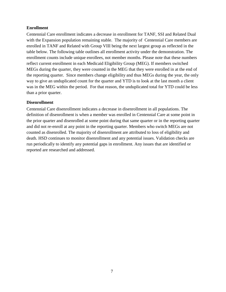#### <span id="page-6-0"></span>**Enrollment**

Centennial Care enrollment indicates a decrease in enrollment for TANF, SSI and Related Dual with the Expansion population remaining stable. The majority of Centennial Care members are enrolled in TANF and Related with Group VIII being the next largest group as reflected in the table below. The following table outlines all enrollment activity under the demonstration. The enrollment counts include unique enrollees, not member months. Please note that these numbers reflect current enrollment in each Medicaid Eligibility Group (MEG). If members switched MEGs during the quarter, they were counted in the MEG that they were enrolled in at the end of the reporting quarter. Since members change eligibility and thus MEGs during the year, the only way to give an unduplicated count for the quarter and YTD is to look at the last month a client was in the MEG within the period. For that reason, the unduplicated total for YTD could be less than a prior quarter.

#### <span id="page-6-1"></span>**Disenrollment**

Centennial Care disenrollment indicates a decrease in disenrollment in all populations. The definition of disenrollment is when a member was enrolled in Centennial Care at some point in the prior quarter and disenrolled at some point during that same quarter or in the reporting quarter and did not re-enroll at any point in the reporting quarter. Members who switch MEGs are not counted as disenrolled. The majority of disenrollment are attributed to loss of eligibility and death. HSD continues to monitor disenrollment and any potential issues. Validation checks are run periodically to identify any potential gaps in enrollment. Any issues that are identified or reported are researched and addressed.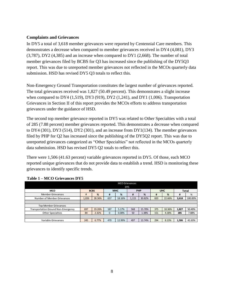#### <span id="page-7-0"></span>**Complaints and Grievances**

In DY5 a total of 3,618 member grievances were reported by Centennial Care members. This demonstrates a decrease when compared to member grievances received in DY4 (4,081), DY3 (3,787), DY2 (4,385) and an increase when compared to DY1 (2,668). The number of total member grievances filed by BCBS for Q3 has increased since the publishing of the DY5Q3 report. This was due to unreported member grievances not reflected in the MCOs quarterly data submission. HSD has revised DY5 Q3 totals to reflect this.

Non-Emergency Ground Transportation constitutes the largest number of grievances reported. The total grievances received was 1,827 (50.49 percent). This demonstrates a slight increase when compared to DY4 (1,519), DY3 (919), DY2 (1,241), and DY1 (1,006). Transportation Grievances in Section II of this report provides the MCOs efforts to address transportation grievances under the guidance of HSD.

The second top member grievance reported in DY5 was related to Other Specialties with a total of 285 (7.88 percent) member grievances reported. This demonstrates a decrease when compared to DY4 (301), DY3 (514), DY2 (301), and an increase from DY1(134). The member grievances filed by PHP for Q2 has increased since the publishing of the DY5Q2 report. This was due to unreported grievances categorized as "Other Specialties" not reflected in the MCOs quarterly data submission. HSD has revised DY5 Q2 totals to reflect this.

There were 1,506 (41.63 percent) variable grievances reported in DY5. Of those, each MCO reported unique grievances that do not provide data to establish a trend. HSD is monitoring these grievances to identify specific trends.

|                                            |       | <b>MCO</b> Grievances<br>DY5 |             |            |       |            |     |            |              |         |  |
|--------------------------------------------|-------|------------------------------|-------------|------------|-------|------------|-----|------------|--------------|---------|--|
| <b>MCO</b>                                 |       | <b>BCBS</b>                  |             | <b>MHC</b> |       | <b>PHP</b> |     | <b>UHC</b> | <b>Total</b> |         |  |
| <b>Member Grievances</b>                   | #     | %                            | #           | %          | #     | %          | #   | %          | #            | %       |  |
| Number of Member Grievances                | 1,026 | 28.36%                       | 657         | 18.16%     | 1,115 | 30.82%     | 820 | 22.66%     | 3,618        | 100.00% |  |
|                                            |       |                              |             |            |       |            |     |            |              |         |  |
| <b>Top Member Grievances</b>               |       |                              |             |            |       |            |     |            |              |         |  |
| <b>Transportation Ground Non-Emergency</b> | 697   | 19.26%                       | 187         | 5.17%      | 568   | 15.70%     | 375 | 10.36%     | 1,827        | 50.49%  |  |
| <b>Other Specialties</b>                   | 84    | 2.32%                        | $\mathbf 0$ | 0.00%      | 50    | 1.38%      | 151 | 4.18%      | 285          | 7.88%   |  |
|                                            |       |                              |             |            |       |            |     |            |              |         |  |
| Variable Grievances                        | 245   | 6.77%                        | 470         | 12.99%     | 497   | 13.74%     | 294 | 8.13%      | 1,506        | 41.63%  |  |

#### **Table 1 – MCO Grievances DY5**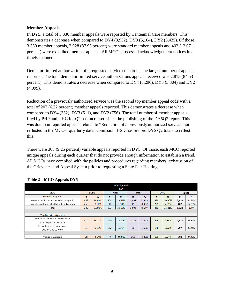#### <span id="page-8-0"></span>**Member Appeals**

In DY5, a total of 3,330 member appeals were reported by Centennial Care members. This demonstrates a decrease when compared to DY4 (3,932), DY3 (5,104), DY2 (5,435). Of those 3,330 member appeals, 2,928 (87.93 percent) were standard member appeals and 402 (12.07 percent) were expedited member appeals. All MCOs processed acknowledgement notices in a timely manner.

Denial or limited authorization of a requested service constitutes the largest number of appeals reported. The total denied or limited service authorizations appeals received was 2,815 (84.53 percent). This demonstrates a decrease when compared to DY4 (3,296), DY3 (3,304) and DY2 (4,099).

Reduction of a previously authorized service was the second top member appeal code with a total of 207 (6.22 percent) member appeals reported. This demonstrates a decrease when compared to DY4 (332), DY3 (511), and DY2 (756). The total number of member appeals filed by PHP and UHC for Q2 has increased since the publishing of the DY5Q2 report. This was due to unreported appeals related to "Reduction of a previously authorized service" not reflected in the MCOs' quarterly data submission. HSD has revised DY5 Q2 totals to reflect this.

There were 308 (9.25 percent) variable appeals reported in DY5. Of those, each MCO reported unique appeals during each quarter that do not provide enough information to establish a trend. All MCOs have complied with the policies and procedures regarding members' exhaustion of the Grievance and Appeal System prior to requesting a State Fair Hearing.

|                                    | <b>MCO</b> Appeals<br>DY5 |             |      |            |       |            |     |            |              |        |  |
|------------------------------------|---------------------------|-------------|------|------------|-------|------------|-----|------------|--------------|--------|--|
| MCO                                |                           | <b>BCBS</b> |      | <b>MHC</b> |       | <b>PHP</b> |     | <b>UHC</b> | <b>Total</b> |        |  |
| <b>Member Appeals</b>              | #                         | %           | #    | %          | #     | %          | #   | %          | #            | %      |  |
| Number of Standard Member Appeals  | 469                       | 14.08%      | 603  | 18.11%     | 1,493 | 44.84%     | 363 | 10.90%     | 2.928        | 87.93% |  |
| Number of Expedited Member Appeals | 260                       | 7.81%       | 30   | 0.90%      | 15    | 0.45%      | 97  | 2.91%      | 402          | 12.07% |  |
| Total                              | 729                       | 21.90%      | 633  | 19.00%     | 1,508 | 45.29%     | 460 | 13.81%     | 3,330        | 100%   |  |
|                                    |                           |             |      |            |       |            |     |            |              |        |  |
| <b>Top Member Appeals</b>          |                           |             |      |            |       |            |     |            |              |        |  |
| Denial or limited authorization    | 610                       | 18.31%      | 530  | 15.92%     |       |            | 328 | 9.85%      | 2,815        | 84.53% |  |
| of a requested service             |                           |             |      |            | 1,347 | 40.45%     |     |            |              |        |  |
| Reduction of a previously          | 21                        | 0.63%       | 112  | 3.36%      | 50    | 1.50%      | 24  | 0.72%      | 207          | 6.22%  |  |
| authorized service                 |                           |             |      |            |       |            |     |            |              |        |  |
|                                    |                           |             |      |            |       |            |     |            |              |        |  |
| Variable Appeals                   | 98                        | 2.94%       | $-9$ | $-0.27%$   | 111   | 3.33%      | 108 | 3.24%      | 308          | 9.25%  |  |

#### **Table 2 – MCO Appeals DY5**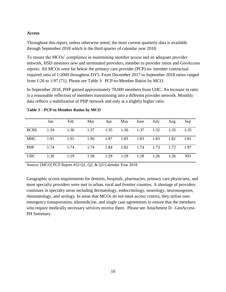#### <span id="page-9-0"></span>**Access**

Throughout this report, unless otherwise noted, the most current quarterly data is available through September 2018 which is the third quarter of calendar year 2018.

To ensure the MCOs' compliance in maintaining member access and an adequate provider network, HSD monitors new and terminated providers, member to provider ratios and GeoAccess reports. All MCOs were far below the primary care provider (PCP)-to- member contractual required ratio of 1:2000 throughout DY5. From December 2017 to September 2018 ratios ranged from 1:26 to 1:97 (71). Please see Table 3: PCP-to-Member Ratios by MCO.

In September 2018, PHP gained approximately 70,000 members from UHC. An increase in ratio is a reasonable reflection of members transitioning into a different provider network. Monthly data reflects a stabilization of PHP network and only at a slightly higher ratio.

|             | Jan  | Feb  | Mar  | Apr  | May  | June | July | Aug  | Sep  |
|-------------|------|------|------|------|------|------|------|------|------|
| <b>BCBS</b> | 1:34 | 1:36 | 1:37 | 1:35 | 1:36 | 1:37 | 1:32 | 1:33 | 1:35 |
| <b>MHC</b>  | 1:91 | 1:91 | 1:90 | 1:87 | 1:85 | 1:83 | 1:83 | 1:82 | 1:81 |
| PHP         | 1:74 | 1:74 | 1:74 | 1:84 | 1:82 | 1:74 | 1:73 | 1:72 | 1:97 |
| <b>UHC</b>  | 1:30 | 1:29 | 1:28 | 1:29 | 1:29 | 1:28 | 1:26 | 1:26 | ND   |

**Table 3 – PCP-to Member Ratios by MCO**

Source: [MCO] PCP Report #53 Q1, Q2, & Q3 Calendar Year 2018

Geographic access requirements for dentists, hospitals, pharmacies, primary care physicians, and most specialty providers were met in urban, rural and frontier counties. A shortage of providers continues in specialty areas including dermatology, endocrinology, neurology, neurosurgeons, rheumatology, and urology. In areas that MCOs do not meet access criteria, they utilize nonemergency transportation, telemedicine, and single case agreements to ensure that the members who require medically necessary services receive them. Please see Attachment D– GeoAccess PH Summary.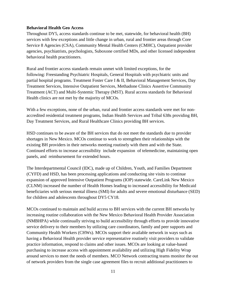#### **Behavioral Health Geo Access**

Throughout DY5, access standards continue to be met, statewide, for behavioral health (BH) services with few exceptions and little change in urban, rural and frontier areas through Core Service 8 Agencies (CSA), Community Mental Health Centers (CMHC), Outpatient provider agencies, psychiatrists, psychologists, Suboxone certified MDs, and other licensed independent behavioral health practitioners.

Rural and frontier access standards remain unmet with limited exceptions, for the following: Freestanding Psychiatric Hospitals, General Hospitals with psychiatric units and partial hospital programs. Treatment Foster Care I & II, Behavioral Management Services, Day Treatment Services, Intensive Outpatient Services, Methadone Clinics Assertive Community Treatment (ACT) and Multi-Systemic Therapy (MST). Rural access standards for Behavioral Health clinics are not met by the majority of MCOs.

With a few exceptions, none of the urban, rural and frontier access standards were met for nonaccredited residential treatment programs, Indian Health Services and Tribal 638s providing BH, Day Treatment Services, and Rural Healthcare Clinics providing BH services.

HSD continues to be aware of the BH services that do not meet the standards due to provider shortages in New Mexico. MCOs continue to work to strengthen their relationships with the existing BH providers in their networks meeting routinely with them and with the State. Continued efforts to increase accessibility include expansion of telemedicine, maintaining open panels, and reimbursement for extended hours.

The Interdepartmental Council (IDC), made up of Children, Youth, and Families Department (CYFD) and HSD, has been processing applications and conducting site visits to continue expansion of approved Intensive Outpatient Programs (IOP) statewide. CareLink New Mexico (CLNM) increased the number of Health Homes leading to increased accessibility for Medicaid beneficiaries with serious mental illness (SMI) for adults and severe emotional disturbance (SED) for children and adolescents throughout DY5 CY18.

MCOs continued to maintain and build access to BH services with the current BH networks by increasing routine collaboration with the New Mexico Behavioral Health Provider Association (NMBHPA) while continually striving to build accessibility through efforts to provide innovative service delivery to their members by utilizing care coordinators, family and peer supports and Community Health Workers (CHWs). MCOs support their available network in ways such as having a Behavioral Health provider service representative routinely visit providers to validate practice information, respond to claims and other issues. MCOs are looking at value-based purchasing to increase access with appointment availability and utilizing High Fidelity Wrap around services to meet the needs of members. MCO Network contracting teams monitor the out of network providers from the single case agreement files to recruit additional practitioners to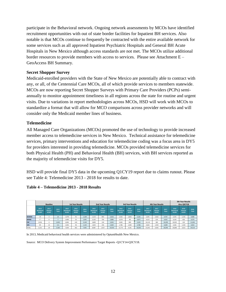participate in the Behavioral network. Ongoing network assessments by MCOs have identified recruitment opportunities with out of state border facilities for Inpatient BH services. Also notable is that MCOs continue to frequently be contracted with the entire available network for some services such as all approved Inpatient Psychiatric Hospitals and General BH Acute Hospitals in New Mexico although access standards are not met. The MCOs utilize additional border resources to provide members with access to services. Please see Attachment E – GeoAccess BH Summary.

#### **Secret Shopper Survey**

<span id="page-11-0"></span>Medicaid-enrolled providers with the State of New Mexico are potentially able to contract with any, or all, of the Centennial Care MCOs, all of which provide services to members statewide. MCOs are now reporting Secret Shopper Surveys with Primary Care Providers (PCPs) semiannually to monitor appointment timeliness in all regions across the state for routine and urgent visits. Due to variations in report methodologies across MCOs, HSD will work with MCOs to standardize a format that will allow for MCO comparisons across provider networks and will consider only the Medicaid member lines of business.

#### **Telemedicine**

All Managed Care Organizations (MCOs) promoted the use of technology to provide increased member access to telemedicine services in New Mexico. Technical assistance for telemedicine services, primary interventions and education for telemedicine coding was a focus area in DY5 for providers interested in providing telemedicine. MCOs provided telemedicine services for both Physical Health (PH) and Behavioral Health (BH) services, with BH services reported as the majority of telemedicine visits for DY5.

HSD will provide final DY5 data in the upcoming Q1CY19 report due to claims runout. Please see Table 4: Telemedicine 2013 - 2018 for results to date.

|  |  | Table 4 – Telemedicine 2013 - 2018 Results |  |  |
|--|--|--------------------------------------------|--|--|
|--|--|--------------------------------------------|--|--|

|               |                                     | <b>Baseline</b>            |               |                                     | <b>1st Year Results</b>                  |                      |                                     | <b>2nd Year Results</b>           |               |                                            | <b>3rd Year Results</b>    |                      | <b>4th Year Results</b>             |                                          | <b>5th Year Results</b><br>thru Q3CY18 |                                            |                                   |               |
|---------------|-------------------------------------|----------------------------|---------------|-------------------------------------|------------------------------------------|----------------------|-------------------------------------|-----------------------------------|---------------|--------------------------------------------|----------------------------|----------------------|-------------------------------------|------------------------------------------|----------------------------------------|--------------------------------------------|-----------------------------------|---------------|
|               | 2013<br><b>Behavioral</b><br>Health | 2013<br>Physical<br>Health | 2013<br>Total | 2014<br><b>Behavioral</b><br>Health | 2014<br><b>Physical</b><br><b>Health</b> | 2014<br><b>Total</b> | 2015<br><b>Behavioral</b><br>Health | 2015<br><b>Physical</b><br>Health | 2015<br>Total | 2016<br><b>Behavioral</b><br><b>Health</b> | 2016<br>Physical<br>Health | 2016<br><b>Total</b> | 2017<br><b>Behavioral</b><br>Health | 2017<br><b>Physical</b><br><b>Health</b> | 2017<br>Total                          | 2018<br><b>Behavioral</b><br><b>Health</b> | 2018<br><b>Physical</b><br>Health | 2018<br>Total |
| <b>BCBSNM</b> | 19                                  |                            | 22            | 1.078                               | 91                                       | 1.169                | 1.213                               | 803                               | 2.016         | 2.362                                      | 2.803                      | 5.165                | 2.645                               | 2.062                                    | 4.707                                  | 2.545                                      | 1.535                             | 4.080         |
| <b>MHNM</b>   | $7*$                                |                            |               | 1.909                               | 32                                       | 1.941                | 2.132                               | 754                               | 2.886         | 3.579                                      | 98                         | 3.677                | 4.213                               | 219                                      | 4.432                                  | 4.154                                      | 416                               | 4,579         |
| PHP           | 2.016                               |                            | 2.020         | 3.006                               | 143                                      | 3.149                | 3.809                               | 134                               | 3.943         | 5.045                                      | 280                        | 5.325                | 10.119                              | 180                                      | 10.299                                 | 10.925                                     | 120                               | 11,045        |
| <b>UHC</b>    | 89                                  | 22                         | 111           | 1.046                               | 96                                       | 1.142                | 1.833                               | 236                               | 2.069         | 1.786                                      | 1.000                      | 2.786                | 4.664                               | 1.944                                    | 6.608                                  | 3.266                                      | 1.544                             | 4,810         |
| <b>TOTAL</b>  | 2.131                               | 29                         | 2.160         | 7.039                               | 362                                      | 7.401                | 8.987                               | 1.927                             | 10.914        | 12.772                                     | 4.181                      | 16.953               | 21.641                              | 4.405                                    | 26.046                                 | 20.890                                     | 3.615                             | 24.514        |

In 2013, Medicaid behavioral health services were administered by OptumHealth New Mexico.

Source: MCO Delivery System Improvement Performance Target Reports -Q1CY14-Q3CY18.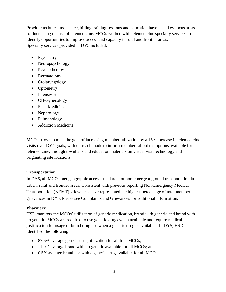Provider technical assistance, billing training sessions and education have been key focus areas for increasing the use of telemedicine. MCOs worked with telemedicine specialty services to identify opportunities to improve access and capacity in rural and frontier areas. Specialty services provided in DY5 included:

- Psychiatry
- Neuropsychology
- Psychotherapy
- Dermatology
- Otolaryngology
- Optometry
- Intensivist
- OB/Gynecology
- Fetal Medicine
- Nephrology
- Pulmonology
- Addiction Medicine

MCOs strove to meet the goal of increasing member utilization by a 15% increase in telemedicine visits over DY4 goals, with outreach made to inform members about the options available for telemedicine, through townhalls and education materials on virtual visit technology and originating site locations.

#### <span id="page-12-0"></span>**Transportation**

In DY5, all MCOs met geographic access standards for non-emergent ground transportation in urban, rural and frontier areas. Consistent with previous reporting Non-Emergency Medical Transportation (NEMT) grievances have represented the highest percentage of total member grievances in DY5. Please see Complaints and Grievances for additional information.

#### <span id="page-12-1"></span>**Pharmacy**

HSD monitors the MCOs' utilization of generic medication, brand with generic and brand with no generic. MCOs are required to use generic drugs when available and require medical justification for usage of brand drug use when a generic drug is available. In DY5, HSD identified the following:

- 87.6% average generic drug utilization for all four MCOs;
- 11.9% average brand with no generic available for all MCOs; and
- 0.5% average brand use with a generic drug available for all MCOs.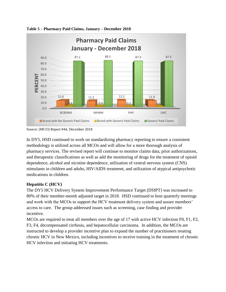

**Table 5 – Pharmacy Paid Claims, January – December 2018**



<span id="page-13-0"></span>In DY5, HSD continued to work on standardizing pharmacy reporting to ensure a consistent methodology is utilized across all MCOs and will allow for a more thorough analysis of pharmacy services. The revised report will continue to monitor claims data, prior authorizations, and therapeutic classifications as well as add the monitoring of drugs for the treatment of opioid dependence, alcohol and nicotine dependence, utilization of central nervous system (CNS) stimulants in children and adults, HIV/AIDS treatment, and utilization of atypical antipsychotic medications in children.

# **Hepatitis C (HCV)**

The DY5 HCV Delivery System Improvement Performance Target (DSIPT) was increased to 80% of their member-month adjusted target in 2018. HSD continued to host quarterly meetings and work with the MCOs to support the HCV treatment delivery system and assure members' access to care. The group addressed issues such as screening, case finding and provider incentive.

MCOs are required to treat all members over the age of 17 with active HCV infection F0, F1, F2, F3, F4, decompensated cirrhosis, and hepatocellular carcinoma. In addition, the MCOs are instructed to develop a provider incentive plan to expand the number of practitioners treating chronic HCV in New Mexico, including incentives to receive training in the treatment of chronic HCV infection and initiating HCV treatments.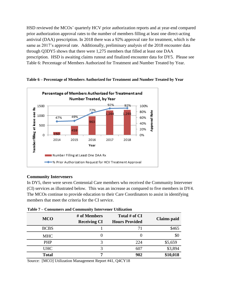HSD reviewed the MCOs' quarterly HCV prior authorization reports and at year-end compared prior authorization approval rates to the number of members filling at least one direct-acting antiviral (DAA) prescription. In 2018 there was a 92% approval rate for treatment, which is the same as 2017's approval rate. Additionally, preliminary analysis of the 2018 encounter data through Q3DY5 shows that there were 1,275 members that filled at least one DAA prescription. HSD is awaiting claims runout and finalized encounter data for DY5. Please see Table 6: Percentage of Members Authorized for Treatment and Number Treated by Year.



#### **Table 6 – Percentage of Members Authorized for Treatment and Number Treated by Year**

#### <span id="page-14-0"></span>**Community Interveners**

In DY5, there were seven Centennial Care members who received the Community Intervener (CI) services as illustrated below. This was an increase as compared to five members in DY4. The MCOs continue to provide education to their Care Coordinators to assist in identifying members that meet the criteria for the CI service.

| TUDIC I      | Consumers and Community miter vener Cumzation |                                        |                    |
|--------------|-----------------------------------------------|----------------------------------------|--------------------|
| <b>MCO</b>   | # of Members<br><b>Receiving CI</b>           | Total # of CI<br><b>Hours Provided</b> | <b>Claims</b> paid |
| <b>BCBS</b>  |                                               |                                        | \$465              |
| <b>MHC</b>   |                                               |                                        | \$0                |
| PHP          |                                               | 224                                    | \$5,659            |
| <b>UHC</b>   |                                               | 607                                    | \$3,894            |
| <b>Total</b> |                                               | 902                                    | \$10,018           |

**Table 7 – Consumers and Community Intervener Utilization**

Source: [MCO] Utilization Management Report #41, Q4CY18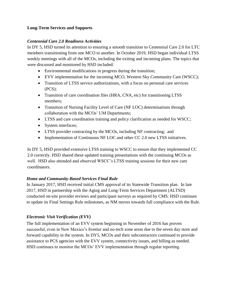#### <span id="page-15-0"></span>**Long-Term Services and Supports**

#### *Centennial Care 2.0 Readiness Activities*

In DY 5, HSD turned its attention to ensuring a smooth transition to Centennial Care 2.0 for LTC members transitioning from one MCO to another. In October 2019, HSD began individual LTSS weekly meetings with all of the MCOs, including the exiting and incoming plans. The topics that were discussed and monitored by HSD included:

- Environmental modifications in progress during the transition;
- EVV implementation for the incoming MCO, Western Sky Community Care (WSCC);
- Transition of LTSS service authorizations, with a focus on personal care services (PCS);
- Transition of care coordination files (HRA, CNA, etc) for transitioning LTSS members;
- Transition of Nursing Facility Level of Care (NF LOC) determinations through collaboration with the MCOs' UM Departments;
- LTSS and care coordination training and policy clarification as needed for WSCC;
- System interfaces;
- LTSS provider contracting by the MCOs, including NF contracting; and
- Implementation of Continuous NF LOC and other CC 2.0 new LTSS initiatives.

In DY 5, HSD provided extensive LTSS training to WSCC to ensure that they implemented CC 2.0 correctly. HSD shared these updated training presentations with the continuing MCOs as well. HSD also attended and observed WSCC's LTSS training sessions for their new care coordinators.

# *Home and Community-Based Services Final Rule*

In January 2017, HSD received initial CMS approval of its Statewide Transition plan. In late 2017, HSD in partnership with the Aging and Long-Term Services Department (ALTSD) conducted on-site provider reviews and participant surveys as required by CMS. HSD continues to update its Final Settings Rule milestones, as NM moves towards full compliance with the Rule.

# *Electronic Visit Verification (EVV)*

The full implementation of an EVV system beginning in November of 2016 has proven successful, even in New Mexico's frontier and no-tech zone areas due to the seven day store and forward capability in the system. In DY5, MCOs and their subcontractors continued to provide assistance to PCS agencies with the EVV system, connectivity issues, and billing as needed. HSD continues to monitor the MCOs' EVV implementation through regular reporting.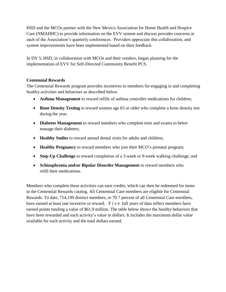HSD and the MCOs partner with the New Mexico Association for Home Health and Hospice Care (NMAHHC) to provide information on the EVV system and discuss provider concerns at each of the Association's quarterly conferences. Providers appreciate this collaboration, and system improvements have been implemented based on their feedback.

In DY 5, HSD, in collaboration with MCOs and their vendors, began planning for the implementation of EVV for Self-Directed Community Benefit PCS.

# <span id="page-16-0"></span>**Centennial Rewards**

The Centennial Rewards program provides incentives to members for engaging in and completing healthy activities and behaviors as described below.

- **Asthma Management** to reward refills of asthma controller medications for children;
- **Bone Density Testing** to reward women age 65 or older who complete a bone density test during the year.
- **Diabetes Management** to reward members who complete tests and exams to better manage their diabetes;
- **Healthy Smiles** to reward annual dental visits for adults and children;
- **Healthy Pregnancy** to reward members who join their MCO's prenatal program;
- **Step-Up Challenge** to reward completion of a 3-week or 9-week walking challenge; and
- **Schizophrenia and/or Bipolar Disorder Management** to reward members who refill their medications.

Members who complete these activities can earn credits, which can then be redeemed for items in the Centennial Rewards catalog. All Centennial Care members are eligible for Centennial Rewards. To date, 714,199 distinct members, or 70.7 percent of all Centennial Care enrollees, have earned at least one incentive or reward. F i v e full years of data reflect members have earned points totaling a value of \$61.9 million. The table below shows the healthy behaviors that have been rewarded and each activity's value in dollars. It includes the maximum dollar value available for each activity and the total dollars earned.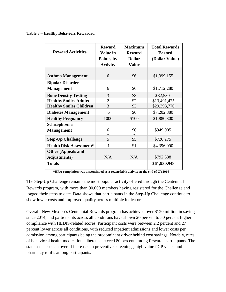#### **Table 8 – Healthy Behaviors Rewarded**

| <b>Reward Activities</b>       | <b>Reward</b><br><b>Value in</b><br>Points, by<br><b>Activity</b> | <b>Maximum</b><br><b>Reward</b><br><b>Dollar</b><br><b>Value</b> | <b>Total Rewards</b><br><b>Earned</b><br>(Dollar Value) |
|--------------------------------|-------------------------------------------------------------------|------------------------------------------------------------------|---------------------------------------------------------|
|                                |                                                                   |                                                                  |                                                         |
| <b>Asthma Management</b>       | 6                                                                 | \$6                                                              | \$1,399,155                                             |
| <b>Bipolar Disorder</b>        |                                                                   |                                                                  |                                                         |
| <b>Management</b>              | 6                                                                 | \$6                                                              | \$1,712,280                                             |
| <b>Bone Density Testing</b>    | 3                                                                 | \$3                                                              | \$82,530                                                |
| <b>Healthy Smiles Adults</b>   | $\overline{2}$                                                    | \$2                                                              | \$13,401,425                                            |
| <b>Healthy Smiles Children</b> | 3                                                                 | \$3                                                              | \$29,393,770                                            |
| <b>Diabetes Management</b>     | 6                                                                 | \$6                                                              | \$7,202,880                                             |
| <b>Healthy Pregnancy</b>       | 1000                                                              | \$100                                                            | \$1,880,300                                             |
| Schizophrenia                  |                                                                   |                                                                  |                                                         |
| <b>Management</b>              | 6                                                                 | \$6                                                              | \$949,905                                               |
| <b>Step-Up Challenge</b>       | 5                                                                 | \$5                                                              | \$720,275                                               |
| <b>Health Risk Assessment*</b> | 1                                                                 | \$1                                                              | \$4,396,090                                             |
| <b>Other (Appeals and</b>      |                                                                   |                                                                  |                                                         |
| Adjustments)                   | N/A                                                               | N/A                                                              | \$792,338                                               |
| <b>Totals</b>                  |                                                                   |                                                                  | \$61,930,948                                            |

**\*HRA completion was discontinued as a rewardable activity at the end of CY2016**

The Step-Up Challenge remains the most popular activity offered through the Centennial Rewards program, with more than 90,000 members having registered for the Challenge and logged their steps to date. Data shows that participants in the Step-Up Challenge continue to show lower costs and improved quality across multiple indicators.

Overall, New Mexico's Centennial Rewards program has achieved over \$120 million in savings since 2014, and participants across all conditions have shown 20 percent to 50 percent higher compliance with HEDIS-related scores. Participant costs were between 2.2 percent and 27 percent lower across all conditions, with reduced inpatient admissions and lower costs per admission among participants being the predominant driver behind cost savings. Notably, rates of behavioral health medication adherence exceed 80 percent among Rewards participants. The state has also seen overall increases in preventive screenings, high value PCP visits, and pharmacy refills among participants.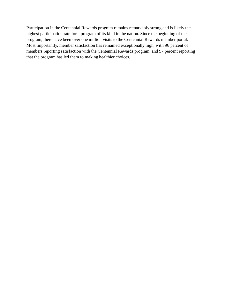Participation in the Centennial Rewards program remains remarkably strong and is likely the highest participation rate for a program of its kind in the nation. Since the beginning of the program, there have been over one million visits to the Centennial Rewards member portal. Most importantly, member satisfaction has remained exceptionally high, with 96 percent of members reporting satisfaction with the Centennial Rewards program, and 97 percent reporting that the program has led them to making healthier choices.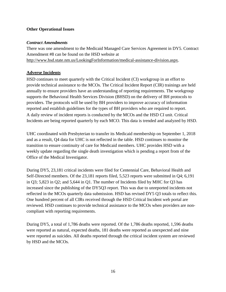#### <span id="page-19-0"></span>**Other Operational Issues**

#### *Contract Amendments*

There was one amendment to the Medicaid Managed Care Services Agreement in DY5. Contract Amendment #8 can be found on the HSD website at [http://www.hsd.state.nm.us/LookingForInformation/medical-assistance-division.aspx.](http://www.hsd.state.nm.us/LookingForInformation/medical-assistance-division.aspx)

#### <span id="page-19-1"></span>**Adverse Incidents**

HSD continues to meet quarterly with the Critical Incident (CI) workgroup in an effort to provide technical assistance to the MCOs. The Critical Incident Report (CIR) trainings are held annually to ensure providers have an understanding of reporting requirements. The workgroup supports the Behavioral Health Services Division (BHSD) on the delivery of BH protocols to providers. The protocols will be used by BH providers to improve accuracy of information reported and establish guidelines for the types of BH providers who are required to report. A daily review of incident reports is conducted by the MCOs and the HSD CI unit. Critical Incidents are being reported quarterly by each MCO. This data is trended and analyzed by HSD.

UHC coordinated with Presbyterian to transfer its Medicaid membership on September 1, 2018 and as a result, Q4 data for UHC is not reflected in the table. HSD continues to monitor the transition to ensure continuity of care for Medicaid members. UHC provides HSD with a weekly update regarding the single death investigation which is pending a report from of the Office of the Medical Investigator.

During DY5, 23,181 critical incidents were filed for Centennial Care, Behavioral Health and Self-Directed members. Of the 23,181 reports filed, 5,523 reports were submitted in Q4; 6,191 in Q3; 5,823 in Q2; and 5,644 in Q1. The number of Incidents filed by MHC for Q3 has increased since the publishing of the DY5Q3 report. This was due to unreported incidents not reflected in the MCOs quarterly data submission. HSD has revised DY5 Q3 totals to reflect this. One hundred percent of all CIRs received through the HSD Critical Incident web portal are reviewed. HSD continues to provide technical assistance to the MCOs when providers are noncompliant with reporting requirements.

During DY5, a total of 1,786 deaths were reported. Of the 1,786 deaths reported, 1,596 deaths were reported as natural, expected deaths, 181 deaths were reported as unexpected and nine were reported as suicides. All deaths reported through the critical incident system are reviewed by HSD and the MCOs.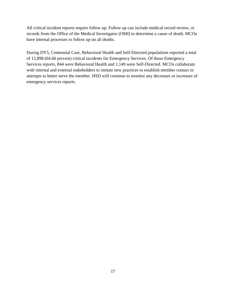All critical incident reports require follow up. Follow up can include medical record review, or records from the Office of the Medical Investigator (OMI) to determine a cause of death. MCOs have internal processes to follow up on all deaths.

During DY5, Centennial Care, Behavioral Health and Self-Directed populations reported a total of 12,898 (64.66 percent) critical incidents for Emergency Services. Of those Emergency Services reports, 844 were Behavioral Health and 1,149 were Self-Directed. MCOs collaborate with internal and external stakeholders to imitate new practices to establish member contact in attempts to better serve the member. HSD will continue to monitor any decreases or increases of emergency services reports.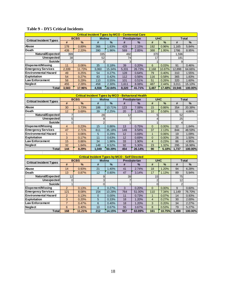#### **Table 9 – DY5 Critical Incidents**

| <b>Critical Incident Types by MCO - Centennial Care</b> |                   |               |               |               |       |               |       |               |        |              |  |  |
|---------------------------------------------------------|-------------------|---------------|---------------|---------------|-------|---------------|-------|---------------|--------|--------------|--|--|
| <b>Critical Incident Types</b>                          |                   | <b>BCBS</b>   | <b>Molina</b> |               |       | Presbyterian  |       | <b>UHC</b>    |        | <b>Total</b> |  |  |
|                                                         | #                 | $\frac{9}{6}$ | #             | $\frac{9}{6}$ | #     | $\frac{9}{6}$ | #     | $\frac{9}{6}$ | #      | $\%$         |  |  |
| Abuse                                                   | 178               | 0.89%         | 366           | 1.83%         | 429   | 2.15%         | 192   | 0.96%         | 1.165  | 5.84%        |  |  |
| Death                                                   | 439               | 2.20%         | 390           | 1.96%         | 569   | 2.85%         | 388   | 1.95%         | 1786   | 8.95%        |  |  |
| Natural/Expected                                        | 399               |               | 335           |               | 492   |               | 370   |               | 1,596  |              |  |  |
|                                                         | Unexpected<br>38l |               | 52            |               | 74    |               | 17    |               | 181    |              |  |  |
| <b>Suicide</b>                                          | 2                 |               | 3             |               | 3     |               |       |               | 9      |              |  |  |
| <b>Elopement/Missing</b>                                | 11                | 0.06%         | 35            | 0.18%         | 39    | 0.20%         | 6     | 0.03%         | 91     | 0.46%        |  |  |
| <b>Emergency Services</b>                               | 2.339             | 11.73%        | 3.060         | 15.34%        | 5.331 | 26.73%        | 2.168 | 10.87%        | 12.898 | 64.66%       |  |  |
| <b>Environmental Hazard</b>                             | 49                | 0.25%         | 54            | 0.27%         | 128   | 0.64%         | 79    | 0.40%         | 310    | 1.55%        |  |  |
| <b>Exploitation</b>                                     | 54                | 0.27%         | 83            | 0.42%         | 112   | 0.56%         | 116   | 0.58%         | 365    | 1.83%        |  |  |
| <b>Law Enforcement</b>                                  | 58                | 0.29%         | 110           | 0.55%         | 101   | 0.51%         | 51    | 0.26%         | 320    | 1.60%        |  |  |
| Neglect                                                 | 455               | 2.28%         | 458           | 2.30%         | 1.611 | 8.08%         | 487   | 2.44%         | 3.011  | 15.10%       |  |  |
| <b>Total</b>                                            | 3.583             | 17.96%        | 4.556         | 22.84%        | 8.320 | 41.71%        | 3.487 | 17.48%        | 19.946 | 100.00%      |  |  |

| <b>Critical Incident Types by MCO - Behavioral Health</b> |     |               |       |               |                 |              |            |               |              |         |  |  |
|-----------------------------------------------------------|-----|---------------|-------|---------------|-----------------|--------------|------------|---------------|--------------|---------|--|--|
|                                                           |     | <b>BCBS</b>   |       | <b>Molina</b> |                 | Presbyterian | <b>UHC</b> |               | <b>Total</b> |         |  |  |
| <b>Critical Incident Types</b>                            | #   | $\frac{9}{6}$ | #     | $\%$          | #               | $\%$         | #          | $\frac{9}{6}$ | #            | $\%$    |  |  |
| Abuse                                                     | 30  | 1.73%         | 186   | 10.71%        | 123             | 7.08%        | 15         | 0.86%         | 354          | 20.38%  |  |  |
| Death                                                     | 12  | 0.69%         | 39    | 2.25%         | 20              | 1.15%        | 10         | 0.58%         | 81           | 4.66%   |  |  |
| Natural/Expected                                          |     |               | 28    |               | 12 <sub>1</sub> |              | 5          |               | 52           |         |  |  |
| <b>Unexpected</b>                                         | 5   |               | 9     |               |                 |              |            |               | 25           |         |  |  |
| Suicide                                                   | 0   |               | ⌒     |               |                 |              |            |               | 4            |         |  |  |
| <b>Elopement/Missing</b>                                  | 4   | 0.23%         | 15    | 0.86%         | 13              | 0.75%        | 0          | $0.00\%$      | 32           | 1.84%   |  |  |
| <b>Emergency Services</b>                                 | 47  | 2.71%         | 611   | 35.18%        | 149             | 8.58%        | 37         | 2.13%         | 844          | 48.59%  |  |  |
| <b>Environmental Hazard</b>                               |     | 0.06%         | 5     | 0.29%         | 12              | 0.69%        |            | 0.06%         | 19           | 1.09%   |  |  |
| <b>Exploitation</b>                                       | 3   | 0.17%         | 11    | 0.63%         | 12              | 0.69%        | 0          | $0.00\%$      | 26           | 1.50%   |  |  |
| <b>Law Enforcement</b>                                    | 15  | 0.86%         | 34    | 1.96%         | 33              | 1.90%        | 4          | 0.23%         | 86           | 4.95%   |  |  |
| <b>Neglect</b>                                            | 32  | 1.84%         | 148   | 8.52%         | 92              | 5.30%        | 23         | 1.32%         | 295          | 16.98%  |  |  |
| Total                                                     | 144 | 8.29%         | 1.049 | 60.39%        | 454             | 26.14%       | 90         | 5.18%         | 1.737        | 100.00% |  |  |

| <b>Critical Incident Types by MCO - Self Directed</b> |               |               |               |               |              |               |            |               |              |               |
|-------------------------------------------------------|---------------|---------------|---------------|---------------|--------------|---------------|------------|---------------|--------------|---------------|
|                                                       | <b>BCBS</b>   |               | <b>Molina</b> |               | Presbyterian |               | <b>UHC</b> |               | <b>Total</b> |               |
| <b>Critical Incident Types</b>                        | #             | $\frac{9}{6}$ | #             | $\frac{9}{6}$ | #            | $\frac{0}{2}$ | #          | $\frac{9}{6}$ | #            | $\frac{9}{6}$ |
| Abuse                                                 | 14            | 0.93%         | 21            | 1.40%         | 41           | 2.74%         | 18         | 1.20%         | 94           | 6.28%         |
| Death                                                 | 13            | 0.87%         | 12            | 0.80%         | 47           | 3.14%         | 17         | 1.13%         | 89           | 5.94%         |
| Natural/Expected                                      | 12            |               | 9             |               | 39           |               | 15         |               | 75           |               |
| Unexpected                                            | 0             |               | 3             |               |              |               | ∩          |               | 12           |               |
| Suicide                                               |               |               | $\Omega$      |               |              |               |            |               | 2            |               |
| <b>Elopement/Missing</b>                              | $\mathcal{P}$ | 0.13%         | 4             | 0.27%         | 3            | 0.20%         | $\Omega$   | $0.00\%$      | 9            | 0.60%         |
| <b>Emergency Services</b>                             | 121           | 8.08%         | 154           | 10.28%        | 764          | 51.00%        | 110        | 7.34%         | 1,149        | 76.70%        |
| <b>Environmental Hazard</b>                           | 2             | 0.13%         | $\Omega$      | $0.00\%$      | 11           | 0.73%         |            | 0.07%         | 14           | 0.93%         |
| <b>Exploitation</b>                                   | 3             | 0.20%         | 5             | 0.33%         | 18           | 1.20%         | 4          | 0.27%         | 30           | 2.00%         |
| Law Enforcement                                       | 7             | 0.47%         | 6             | 0.40%         | 18           | 1.20%         | 3          | 0.20%         | 34           | 2.27%         |
| <b>Neglect</b>                                        | 6             | 0.40%         | 10            | 0.67%         | 55           | 3.67%         | 8          | 0.53%         | 79           | 5.27%         |
| <b>Total</b>                                          | 168           | 11.21%        | 212           | 14.15%        | 957          | 63.89%        | 161        | 10.75%        | 1.498        | 100.00%       |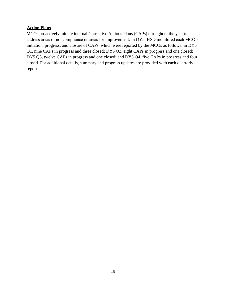# <span id="page-22-0"></span>**Action Plans**

<span id="page-22-1"></span>MCOs proactively initiate internal Corrective Actions Plans (CAPs) throughout the year to address areas of noncompliance or areas for improvement. In DY5, HSD monitored each MCO's initiation, progress, and closure of CAPs, which were reported by the MCOs as follows: in DY5 Q1, nine CAPs in progress and three closed; DY5 Q2, eight CAPs in progress and one closed; DY5 Q3, twelve CAPs in progress and one closed; and DY5 Q4, five CAPs in progress and four closed. For additional details, summary and progress updates are provided with each quarterly report.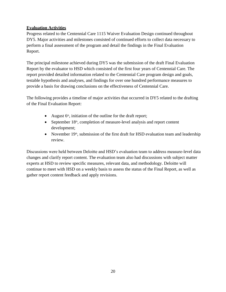# **Evaluation Activities**

Progress related to the Centennial Care 1115 Waiver Evaluation Design continued throughout DY5. Major activities and milestones consisted of continued efforts to collect data necessary to perform a final assessment of the program and detail the findings in the Final Evaluation Report.

The principal milestone achieved during DY5 was the submission of the draft Final Evaluation Report by the evaluator to HSD which consisted of the first four years of Centennial Care. The report provided detailed information related to the Centennial Care program design and goals, testable hypothesis and analyses, and findings for over one hundred performance measures to provide a basis for drawing conclusions on the effectiveness of Centennial Care.

The following provides a timeline of major activities that occurred in DY5 related to the drafting of the Final Evaluation Report:

- August  $6<sup>th</sup>$ , initiation of the outline for the draft report;
- September  $18<sup>th</sup>$ , completion of measure-level analysis and report content development;
- November  $19<sup>th</sup>$ , submission of the first draft for HSD evaluation team and leadership review.

Discussions were held between Deloitte and HSD's evaluation team to address measure-level data changes and clarify report content. The evaluation team also had discussions with subject matter experts at HSD to review specific measures, relevant data, and methodology. Deloitte will continue to meet with HSD on a weekly basis to assess the status of the Final Report, as well as gather report content feedback and apply revisions.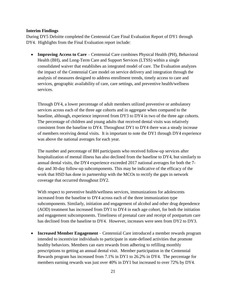#### <span id="page-24-0"></span>**Interim Findings**

During DY5 Deloitte completed the Centennial Care Final Evaluation Report of DY1 through DY4. Highlights from the Final Evaluation report include:

• **Improving Access to Care** – Centennial Care combines Physical Health (PH), Behavioral Health (BH), and Long-Term Care and Support Services (LTSS) within a single consolidated waiver that establishes an integrated model of care. The Evaluation analyzes the impact of the Centennial Care model on service delivery and integration through the analysis of measures designed to address enrollment trends, timely access to care and services, geographic availability of care, care settings, and preventive health/wellness services.

Through DY4, a lower percentage of adult members utilized preventive or ambulatory services across each of the three age cohorts and in aggregate when compared to the baseline, although, experience improved from DY3 to DY4 in two of the three age cohorts. The percentage of children and young adults that received dental visits was relatively consistent from the baseline to DY4. Throughout DY1 to DY4 there was a steady increase of members receiving dental visits. It is important to note the DY1 through DY4 experience was above the national averages for each year.

The number and percentage of BH participants who received follow-up services after hospitalization of mental illness has also declined from the baseline to DY4, but similarly to annual dental visits, the DY4 experience exceeded 2017 national averages for both the 7 day and 30-day follow-up subcomponents. This may be indicative of the efficacy of the work that HSD has done in partnership with the MCOs to rectify the gaps in network coverage that occurred throughout DY2.

With respect to preventive health/wellness services, immunizations for adolescents increased from the baseline to DY4 across each of the three immunization type subcomponents. Similarly, initiation and engagement of alcohol and other drug dependence (AOD) treatment has increased from DY1 to DY4 in each age cohort, for both the initiation and engagement subcomponents. Timeliness of prenatal care and receipt of postpartum care has declined from the baseline to DY4. However, increases were seen from DY2 to DY3.

• **Increased Member Engagement** – Centennial Care introduced a member rewards program intended to incentivize individuals to participate in state-defined activities that promote healthy behaviors. Members can earn rewards from adhering to refilling monthly prescriptions to getting an annual dental visit. Member participation in the Centennial Rewards program has increased from 7.1% in DY1 to 26.2% in DY4. The percentage for members earning rewards was just over 40% in DY1 but increased to over 72% by DY4.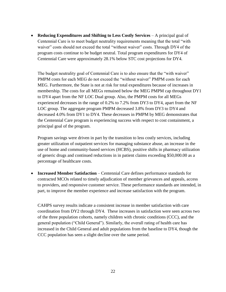• **Reducing Expenditures and Shifting to Less Costly Services – A principal goal of** Centennial Care is to meet budget neutrality requirements meaning that the total "with waiver" costs should not exceed the total "without waiver" costs. Through DY4 of the program costs continue to be budget neutral. Total program expenditures for DY4 of Centennial Care were approximately 28.1% below STC cost projections for DY4.

The budget neutrality goal of Centennial Care is to also ensure that the "with waiver" PMPM costs for each MEG do not exceed the "without waiver" PMPM costs for each MEG. Furthermore, the State is not at risk for total expenditures because of increases in membership. The costs for all MEGs remained below the MEG PMPM cap throughout DY1 to DY4 apart from the NF LOC Dual group. Also, the PMPM costs for all MEGs experienced decreases in the range of 0.2% to 7.2% from DY3 to DY4, apart from the NF LOC group. The aggregate program PMPM decreased 3.8% from DY3 to DY4 and decreased 4.0% from DY1 to DY4. These decreases in PMPM by MEG demonstrates that the Centennial Care program is experiencing success with respect to cost containment, a principal goal of the program.

Program savings were driven in part by the transition to less costly services, including greater utilization of outpatient services for managing substance abuse, an increase in the use of home and community-based services (HCBS), positive shifts in pharmacy utilization of generic drugs and continued reductions in in patient claims exceeding \$50,000.00 as a percentage of healthcare costs.

• **Increased Member Satisfaction** – Centennial Care defines performance standards for contracted MCOs related to timely adjudication of member grievances and appeals, access to providers, and responsive customer service. These performance standards are intended, in part, to improve the member experience and increase satisfaction with the program.

CAHPS survey results indicate a consistent increase in member satisfaction with care coordination from DY2 through DY4. These increases in satisfaction were seen across two of the three population cohorts, namely children with chronic conditions (CCC), and the general population ("Child General"). Similarly, the overall rating of health care has increased in the Child General and adult populations from the baseline to DY4, though the CCC population has seen a slight decline over the same period.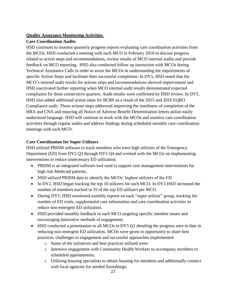# <span id="page-26-1"></span><span id="page-26-0"></span>**Quality Assurance Monitoring Activities**

# **Care Coordination Audits**

HSD continues to monitor quarterly progress reports evaluating care coordination activities from the MCOs. HSD conducted a meeting with each MCO in February 2018 to discuss progress related to action steps and recommendations, review results of MCO internal audits and provide feedback on MCO reporting. HSD also conducted follow up instruction with MCOs during Technical Assistance Calls in order to assist the MCOs in understanding the requirements of specific Action Steps and facilitate their successful completion. In DY5, HSD noted that the MCO's internal audit results for actions steps and recommendations showed improvement and HSD inactivated further reporting when MCO internal audit results demonstrated expected compliance for three consecutive quarters. Audit results were confirmed by HSD review. In DY5, HSD also added additional action steps for BCBS as a result of the 2015 and 2016 EQRO Compliance audit. These actions steps addressed improving the timeliness of completion of the HRA and CNA and ensuring all Notice of Adverse Benefit Determination letters utilize easily understood language. HSD will continue to work with the MCOs and monitor care coordination activities through regular audits and address findings during scheduled monthly care coordination meetings with each MCO.

# **Care Coordination for Super Utilizers**

HSD utilized PRISM software to track members who were high utilizers of the Emergency Department (ED) from DY2 Q3 through DY5 Q4 and worked with the MCOs on implementing interventions to reduce unnecessary ED utilization.

- PRISM is an integrated software tool used to support care management interventions for high risk Medicaid patients.
- HSD utilized PRISM data to identify the MCOs' highest utilizers of the ED.
- In DY2, HSD began tracking the top 10 utilizers for each MCO. In DY3 HSD increased the number of members tracked to 35 of the top ED utilizers per MCO.
- During DY5, HSD monitored monthly reports on each "super utilizer" group, tracking the number of ED visits, supplemental care information and care coordination activities to reduce non-emergent ED utilization.
- HSD provided monthly feedback to each MCO targeting specific member issues and encouraging innovative methods of engagement.
- HSD conducted a presentation to all MCOs in DY5 Q1 detailing the progress seen to date in reducing non-emergent ED utilization. MCOs were given to opportunity to share best practices, challenges to engagement and successful approaches implemented.
	- o Some of the initiatives and best practices utilized were:
	- o Intensive engagement with Community Health Workers to accompany members to scheduled appointments;
	- o Utilizing housing specialists to obtain housing for members and additionally connect with local agencies for needed furnishings;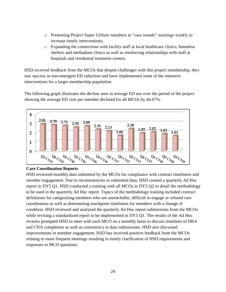- o Presenting Project Super Utilizer members in "case rounds" meetings weekly to increase timely interventions;
- o Expanding the connections with facility staff at local healthcare clinics, homeless shelters and methadone clinics as well as reinforcing relationships with staff at hospitals and residential treatment centers.

HSD received feedback from the MCOs that despite challenges with this project membership, they saw success in non-emergent ED reduction and have implemented some of the intensive interventions for a larger membership population.

The following graph illustrates the decline seen in average ED use over the period of the project showing the average ED visit per member declined for all MCOs by 44.67%.



#### **Care Coordination Reports**

HSD reviewed monthly data submitted by the MCOs for compliance with contract timeliness and member engagement. Due to inconsistencies in submitted data, HSD created a quarterly Ad Hoc report in DY5 Q1. HSD conducted a training with all MCOs in DY5 Q2 to detail the methodology to be used in the quarterly Ad Hoc report. Topics of the methodology training included contract definitions for categorizing members who are unreachable, difficult to engage or refused care coordination as well as determining touchpoint timeliness for members with a change of condition. HSD reviewed and analyzed the quarterly Ad Hoc report submissions from the MCOs while revising a standardized report to be implemented in DY5 Q1. The results of the Ad Hoc reviews prompted HSD to meet with each MCO on a monthly basis to discuss timelines of HRA and CNA completion as well as consistency in data submissions. HSD also discussed improvements in member engagement. HSD has received positive feedback from the MCOs relating to more frequent meetings resulting in timely clarification of HSD requirements and responses to MCO questions.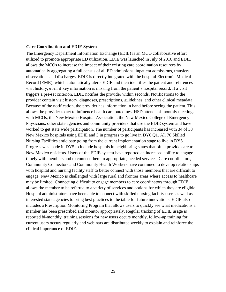#### **Care Coordination and EDIE System**

The Emergency Department Information Exchange (EDIE) is an MCO collaborative effort utilized to promote appropriate ED utilization. EDIE was launched in July of 2016 and EDIE allows the MCOs to increase the impact of their existing care coordination resources by automatically aggregating a full census of all ED admissions, inpatient admissions, transfers, observations and discharges. EDIE is directly integrated with the hospital Electronic Medical Record (EMR), which automatically alerts EDIE and then identifies the patient and references visit history, even if key information is missing from the patient's hospital record. If a visit triggers a pre-set criterion, EDIE notifies the provider within seconds. Notifications to the provider contain visit history, diagnoses, prescriptions, guidelines, and other clinical metadata. Because of the notification, the provider has information in hand before seeing the patient. This allows the provider to act to influence health care outcomes. HSD attends bi-monthly meetings with MCOs, the New Mexico Hospital Association, the New Mexico College of Emergency Physicians, other state agencies and community providers that use the EDIE system and have worked to get state wide participation. The number of participants has increased with 34 of 38 New Mexico hospitals using EDIE and 3 in progress to go live in DY6 Q1. All 76 Skilled Nursing Facilities anticipate going from the current implementation stage to live in DY6. Progress was made in DY5 to include hospitals in neighboring states that often provide care to New Mexico residents. Users of the EDIE system have reported an increased ability to engage timely with members and to connect them to appropriate, needed services. Care coordinators, Community Connectors and Community Health Workers have continued to develop relationships with hospital and nursing facility staff to better connect with those members that are difficult to engage. New Mexico is challenged with large rural and frontier areas where access to healthcare may be limited. Connecting difficult to engage members to care coordinators through EDIE allows the member to be referred to a variety of services and options for which they are eligible. Hospital administrators have been able to connect with skilled nursing facility users as well as interested state agencies to bring best practices to the table for future innovations. EDIE also includes a Prescription Monitoring Program that allows users to quickly see what medications a member has been prescribed and monitor appropriately. Regular tracking of EDIE usage is reported bi-monthly, training sessions for new users occurs monthly, follow-up training for current users occurs regularly and webinars are distributed weekly to explain and reinforce the clinical importance of EDIE.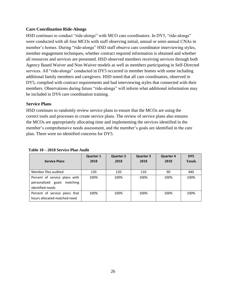# **Care Coordination Ride-Alongs**

HSD continues to conduct "ride-alongs" with MCO care coordinators. In DY5, "ride-alongs" were conducted with all four MCOs with staff observing initial, annual or semi-annual CNAs in member's homes. During "ride-alongs" HSD staff observe care coordinator interviewing styles, member engagement techniques, whether contract required information is obtained and whether all resources and services are presented. HSD observed members receiving services through both Agency Based Waiver and Non-Waiver models as well as members participating in Self-Directed services. All "ride-alongs" conducted in DY5 occurred in member homes with some including additional family members and caregivers. HSD noted that all care coordinators, observed in DY5, complied with contract requirements and had interviewing styles that connected with their members. Observations during future "ride-alongs" will inform what additional information may be included in DY6 care coordination training.

# <span id="page-29-0"></span>**Service Plans**

HSD continues to randomly review service plans to ensure that the MCOs are using the correct tools and processes to create service plans. The review of service plans also ensures the MCOs are appropriately allocating time and implementing the services identified in the member's comprehensive needs assessment, and the member's goals are identified in the care plan. There were no identified concerns for DY5.

| <b>Service Plans</b>                                                                | <b>Quarter 1</b><br>2018 | <b>Quarter 2</b><br>2018 | <b>Quarter 3</b><br>2018 | <b>Quarter 4</b><br>2018 | DY5<br><b>Totals</b> |
|-------------------------------------------------------------------------------------|--------------------------|--------------------------|--------------------------|--------------------------|----------------------|
| Member files audited                                                                | 120                      | 120                      | 110                      | 90                       | 440                  |
| Percent of service plans with<br>personalized goals<br>matching<br>identified needs | 100%                     | 100%                     | 100%                     | 100%                     | 100%                 |
| Percent of service plans that<br>hours allocated matched need                       | 100%                     | 100%                     | 100%                     | 100%                     | 100%                 |

#### **Table 10 – 2018 Service Plan Audit**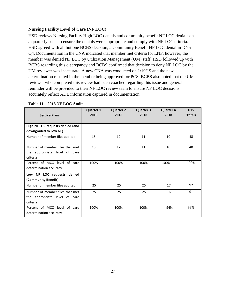# <span id="page-30-0"></span>**Nursing Facility Level of Care (NF LOC)**

HSD reviews Nursing Facility High LOC denials and community benefit NF LOC denials on a quarterly basis to ensure the denials were appropriate and comply with NF LOC criteria. HSD agreed with all but one BCBS decision, a Community Benefit NF LOC denial in DY5 Q4. Documentation in the CNA indicated that member met criteria for LNF; however, the member was denied NF LOC by Utilization Management (UM) staff. HSD followed up with BCBS regarding this discrepancy and BCBS confirmed that decision to deny NF LOC by the UM reviewer was inaccurate. A new CNA was conducted on 1/10/19 and the new determination resulted in the member being approved for PCS. BCBS also noted that the UM reviewer who completed this review had been coached regarding this issue and general reminder will be provided to their NF LOC review team to ensure NF LOC decisions accurately reflect ADL information captured in documentation.

| <b>Service Plans</b>                                                         | <b>Quarter 1</b><br>2018 | <b>Quarter 2</b><br>2018 | <b>Quarter 3</b><br>2018 | <b>Quarter 4</b><br>2018 | DY5<br><b>Totals</b> |
|------------------------------------------------------------------------------|--------------------------|--------------------------|--------------------------|--------------------------|----------------------|
| High NF LOC requests denied (and                                             |                          |                          |                          |                          |                      |
| downgraded to Low NF)                                                        |                          |                          |                          |                          |                      |
| Number of member files audited                                               | 15                       | 12                       | 11                       | 10                       | 48                   |
| Number of member files that met<br>the appropriate level of care<br>criteria | 15                       | 12                       | 11                       | 10                       | 48                   |
| Percent of MCO level of care<br>determination accuracy                       | 100%                     | 100%                     | 100%                     | 100%                     | 100%                 |
| Low NF LOC requests denied<br>(Community Benefit)                            |                          |                          |                          |                          |                      |
| Number of member files audited                                               | 25                       | 25                       | 25                       | 17                       | 92                   |
| Number of member files that met<br>the appropriate level of care<br>criteria | 25                       | 25                       | 25                       | 16                       | 91                   |
| Percent of MCO level of care<br>determination accuracy                       | 100%                     | 100%                     | 100%                     | 94%                      | 99%                  |

**Table 11 – 2018 NF LOC Audit**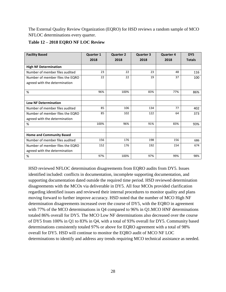The External Quality Review Organization (EQRO) for HSD reviews a random sample of MCO NFLOC determinations every quarter.

| <b>Facility Based</b>           | <b>Quarter 1</b> | <b>Quarter 2</b> | <b>Quarter 3</b> | <b>Quarter 4</b> | DY5           |
|---------------------------------|------------------|------------------|------------------|------------------|---------------|
|                                 | 2018             | 2018             | 2018             | 2018             | <b>Totals</b> |
| <b>High NF Determination</b>    |                  |                  |                  |                  |               |
| Number of member files audited  | 23               | 22               | 23               | 48               | 116           |
| Number of member files the EQRO | 22               | 22               | 19               | 37               | 100           |
| agreed with the determination   |                  |                  |                  |                  |               |
|                                 |                  |                  |                  |                  |               |
| %                               | 96%              | 100%             | 83%              | 77%              | 86%           |
|                                 |                  |                  |                  |                  |               |
| <b>Low NF Determination</b>     |                  |                  |                  |                  |               |
| Number of member files audited  | 85               | 106              | 134              | 77               | 402           |
| Number of member files the EQRO | 85               | 102              | 122              | 64               | 373           |
| agreed with the determination   |                  |                  |                  |                  |               |
| %                               | 100%             | 96%              | 91%              | 83%              | 93%           |
|                                 |                  |                  |                  |                  |               |
| <b>Home and Community Based</b> |                  |                  |                  |                  |               |
| Number of member files audited  | 156              | 176              | 198              | 156              | 686           |
| Number of member files the EQRO | 152              | 176              | 192              | 154              | 674           |
| agreed with the determination   |                  |                  |                  |                  |               |
| %                               | 97%              | 100%             | 97%              | 99%              | 98%           |

#### **Table 12 – 2018 EQRO NF LOC Review**

HSD reviewed NFLOC determination disagreements from EQRO audits from DY5. Issues identified included: conflicts in documentation, incomplete supporting documentation, and supporting documentation dated outside the required time period. HSD reviewed determination disagreements with the MCOs via deliverable in DY5. All four MCOs provided clarification regarding identified issues and reviewed their internal procedures to monitor quality and plans moving forward to further improve accuracy. HSD noted that the number of MCO High NF determination disagreements increased over the course of DY5, with the EQRO in agreement with 77% of the MCO determinations in Q4 compared to 96% in Q1.MCO HNF determinations totaled 86% overall for DY5. The MCO Low NF determinations also decreased over the course of DY5 from 100% in Q1 to 83% in Q4, with a total of 93% overall for DY5. Community based determinations consistently totaled 97% or above for EQRO agreement with a total of 98% overall for DY5. HSD will continue to monitor the EQRO audit of MCO NF LOC determinations to identify and address any trends requiring MCO technical assistance as needed.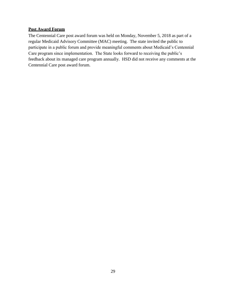#### <span id="page-32-0"></span>**Post Award Forum**

The Centennial Care post award forum was held on Monday, November 5, 2018 as part of a regular Medicaid Advisory Committee (MAC) meeting. The state invited the public to participate in a public forum and provide meaningful comments about Medicaid's Centennial Care program since implementation. The State looks forward to receiving the public's feedback about its managed care program annually. HSD did not receive any comments at the Centennial Care post award forum.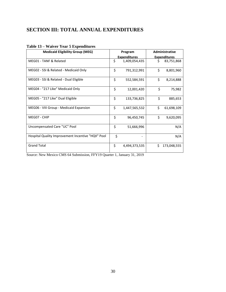# <span id="page-33-0"></span>**SECTION III: TOTAL ANNUAL EXPENDITURES**

| <b>Medicaid Eligibility Group (MEG)</b>            |                     | Program       |                     | <b>Administrative</b> |  |
|----------------------------------------------------|---------------------|---------------|---------------------|-----------------------|--|
|                                                    | <b>Expenditures</b> |               | <b>Expenditures</b> |                       |  |
| MEG01 - TANF & Related                             | \$                  | 1,409,054,435 | Ś.                  | 83,751,868            |  |
| MEG02 - SSI & Related - Medicaid Only              | \$                  | 791,312,991   | \$                  | 8,801,960             |  |
| MEG03 - SSI & Related - Dual Eligible              | \$                  | 552,584,591   | \$                  | 8,214,888             |  |
| MEG04 - "217 Like" Medicaid Only                   | \$                  | 12,001,420    | \$                  | 75,982                |  |
| MEG05 - "217 Like" Dual Eligible                   | \$                  | 133,736,825   | \$                  | 885,653               |  |
| MEG06 - VIII Group - Medicaid Expansion            | \$                  | 1,447,565,532 | \$                  | 61,698,109            |  |
| MEG07 - CHIP                                       | \$                  | 96,450,745    | \$                  | 9,620,095             |  |
| Uncompensated Care "UC" Pool                       | \$                  | 51,666,996    |                     | N/A                   |  |
| Hospital Quality Improvement Incentive "HQII" Pool | \$                  |               |                     | N/A                   |  |
| <b>Grand Total</b>                                 | \$                  | 4,494,373,535 | Ś.                  | 173,048,555           |  |

## **Table 13 – Waiver Year 5 Expenditures**

Source: New Mexico CMS 64 Submission, FFY19 Quarter 1, January 31, 2019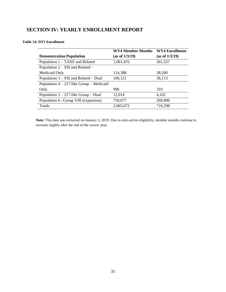# <span id="page-34-0"></span>**SECTION IV: YEARLY ENROLLMENT REPORT**

#### **Table 14: DY5 Enrollment**

|                                             | <b>WY4 Member Months</b> | <b>WY4 Enrollment</b> |
|---------------------------------------------|--------------------------|-----------------------|
| <b>Demonstration Population</b>             | (as of 1/3/19)           | (as of 1/3/19)        |
| Population 1 – TANF and Related             | 1,081,476                | 361,557               |
| Population $2 - SSI$ and Related –          |                          |                       |
| Medicaid Only                               | 114,388                  | 38,260                |
| Population $3 - SSI$ and Related – Dual     | 106,121                  | 36,113                |
| Population $4 - 217$ -like Group – Medicaid |                          |                       |
| Only                                        | 996                      | 310                   |
| Population $5 - 217$ -like Group – Dual     | 12,014                   | 4,162                 |
| Population 6 – Group VIII (expansion)       | 750,077                  | 269,896               |
| <b>Totals</b>                               | 2,065,072                | 710,298               |

**Note:** This data was extracted on January 3, 2019. Due to retro-active eligibility, member months continue to increase slightly after the end of the waiver year.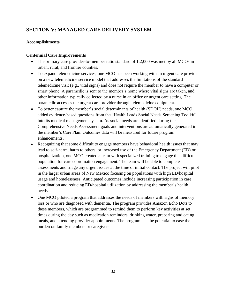# <span id="page-35-0"></span>**SECTION V: MANAGED CARE DELIVERY SYSTEM**

# <span id="page-35-1"></span>**Accomplishments**

#### <span id="page-35-2"></span>**Centennial Care Improvements**

- The primary care provider-to-member ratio standard of 1:2,000 was met by all MCOs in urban, rural, and frontier counties.
- To expand telemedicine services, one MCO has been working with an urgent care provider on a new telemedicine service model that addresses the limitations of the standard telemedicine visit (e.g., vital signs) and does not require the member to have a computer or smart phone. A paramedic is sent to the member's home where vital signs are taken, and other information typically collected by a nurse in an office or urgent care setting. The paramedic accesses the urgent care provider through telemedicine equipment.
- To better capture the member's social determinants of health (SDOH) needs, one MCO added evidence-based questions from the "Health Leads Social Needs Screening Toolkit" into its medical management system. As social needs are identified during the Comprehensive Needs Assessment goals and interventions are automatically generated in the member's Care Plan. Outcomes data will be measured for future program enhancements.
- Recognizing that some difficult to engage members have behavioral health issues that may lead to self-harm, harm to others, or increased use of the Emergency Department (ED) or hospitalization, one MCO created a team with specialized training to engage this difficult population for care coordination engagement. The team will be able to complete assessments and triage any urgent issues at the time of initial contact. The project will pilot in the larger urban areas of New Mexico focusing on populations with high ED/hospital usage and homelessness. Anticipated outcomes include increasing participation in care coordination and reducing ED/hospital utilization by addressing the member's health needs.
- One MCO piloted a program that addresses the needs of members with signs of memory loss or who are diagnosed with dementia. The program provides Amazon Echo Dots to these members, which are programmed to remind them to perform key activities at set times during the day such as medication reminders, drinking water, preparing and eating meals, and attending provider appointments. The program has the potential to ease the burden on family members or caregivers.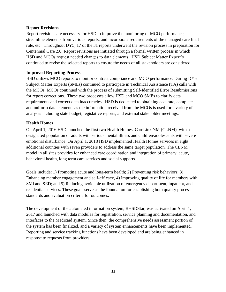### **Report Revisions**

Report revisions are necessary for HSD to improve the monitoring of MCO performance, streamline elements from various reports, and incorporate requirements of the managed care final rule, etc. Throughout DY5, 17 of the 31 reports underwent the revision process in preparation for Centennial Care 2.0. Report revisions are initiated through a formal written process in which HSD and MCOs request needed changes to data elements. HSD Subject Matter Expert's continued to revise the selected reports to ensure the needs of all stakeholders are considered.

### **Improved Reporting Process**

HSD utilizes MCO reports to monitor contract compliance and MCO performance. During DY5 Subject Matter Experts (SMEs) continued to participate in Technical Assistance (TA) calls with the MCOs. MCOs continued with the process of submitting Self-Identified Error Resubmissions for report corrections. These two processes allow HSD and MCO SMEs to clarify data requirements and correct data inaccuracies. HSD is dedicated to obtaining accurate, complete and uniform data elements as the information received from the MCOs is used for a variety of analyses including state budget, legislative reports, and external stakeholder meetings.

## **Health Homes**

On April 1, 2016 HSD launched the first two Health Homes, CareLink NM (CLNM), with a designated population of adults with serious mental illness and children/adolescents with severe emotional disturbance. On April 1, 2018 HSD implemented Health Homes services in eight additional counties with seven providers to address the same target population. The CLNM model in all sites provides for enhanced care coordination and integration of primary, acute, behavioral health, long term care services and social supports.

Goals include: 1) Promoting acute and long-term health; 2) Preventing risk behaviors; 3) Enhancing member engagement and self-efficacy, 4) Improving quality of life for members with SMI and SED; and 5) Reducing avoidable utilization of emergency department, inpatient, and residential services. These goals serve as the foundation for establishing both quality process standards and evaluation criteria for outcomes.

The development of the automated information system, BHSDStar, was activated on April 1, 2017 and launched with data modules for registration, service planning and documentation, and interfaces to the Medicaid system. Since then, the comprehensive needs assessment portion of the system has been finalized, and a variety of system enhancements have been implemented. Reporting and service tracking functions have been developed and are being enhanced in response to requests from providers.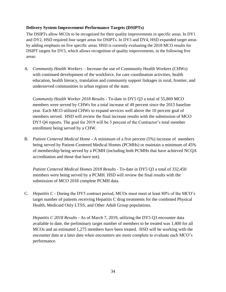## **Delivery System Improvement Performance Targets (DSIPTs)**

The DSIPTs allow MCOs to be recognized for their quality improvements in specific areas. In DY1 and DY2, HSD required four target areas for DSIPTs. In DY3 and DY4, HSD expanded target areas by adding emphasis on five specific areas. HSD is currently evaluating the 2018 MCO results for DSIPT targets for DY5, which allows recognition of quality improvements, in the following five areas:

A. *Community Health Workers* – Increase the use of Community Health Workers (CHWs) with continued development of the workforce, for care coordination activities, health education, health literacy, translation and community support linkages in rural, frontier, and underserved communities in urban regions of the state.

*Community Health Worker 2018 Results* - To-date in DY5 Q3 a total of 55,869 MCO members were served by CHWs for a total increase of 49 percent since the 2015 baseline year. Each MCO utilized CHWs to expand services well above the 10 percent goal of members served. HSD will review the final increase results with the submission of MCO DY5 Q4 reports. The goal for 2019 will be 3 percent of the Contractor's total member enrollment being served by a CHW.

B. *Patient Centered Medical Home* - A minimum of a five percent (5%) increase of members being served by Patient-Centered Medical Homes (PCMHs) or maintain a minimum of 45% of membership being served by a PCMH (including both PCMHs that have achieved NCQA accreditation and those that have not).

*Patient Centered Medical Homes 2018 Results* - To-date in DY5 Q3 a total of 332,450 members were being served by a PCMH. HSD will review the final results with the submission of MCO 2018 complete PCMH data.

C. *Hepatitis C* - During the DY5 contract period, MCOs must meet at least 80% of the MCO's target number of patients receiving Hepatitis C drug treatments for the combined Physical Health, Medicaid Only LTSS, and Other Adult Group populations.

*Hepatitis C 2018 Results* - As of March 7, 2019, utilizing the DY5 Q3 encounter data available to date, the preliminary target number of members to be treated was 1,400 for all MCOs and an estimated 1,275 members have been treated. HSD will be working with the encounter data at a later date when encounters are more complete to evaluate each MCO's performance.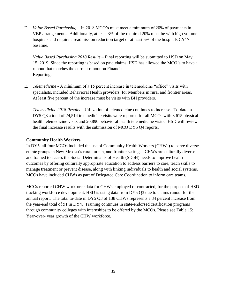D. *Value Based Purchasing* – In 2018 MCO's must meet a minimum of 20% of payments in VBP arrangements. Additionally, at least 3% of the required 20% must be with high volume hospitals and require a readmission reduction target of at least 5% of the hospitals CY17 baseline.

*Value Based Purchasing 2018 Results –* Final reporting will be submitted to HSD on May 15, 2019. Since the reporting is based on paid claims, HSD has allowed the MCO's to have a runout that matches the current runout on Financial Reporting.

E. *Telemedicine* - A minimum of a 15 percent increase in telemedicine "office" visits with specialists, included Behavioral Health providers, for Members in rural and frontier areas. At least five percent of the increase must be visits with BH providers.

*Telemedicine 2018 Results* – Utilization of telemedicine continues to increase. To-date in DY5 Q3 a total of 24,514 telemedicine visits were reported for all MCOs with 3,615 physical health telemedicine visits and 20,890 behavioral health telemedicine visits. HSD will review the final increase results with the submission of MCO DY5 Q4 reports.

### **Community Health Workers**

In DY5, all four MCOs included the use of Community Health Workers (CHWs) to serve diverse ethnic groups in New Mexico's rural, urban, and frontier settings. CHWs are culturally diverse and trained to access the Social Determinants of Health (SDoH) needs to improve health outcomes by offering culturally appropriate education to address barriers to care, teach skills to manage treatment or prevent disease, along with linking individuals to health and social systems. MCOs have included CHWs as part of Delegated Care Coordination to inform care teams.

MCOs reported CHW workforce data for CHWs employed or contracted, for the purpose of HSD tracking workforce development. HSD is using data from DY5 Q3 due to claims runout for the annual report. The total to-date in DY5 Q3 of 138 CHWs represents a 34 percent increase from the year-end total of 91 in DY4. Training continues in state-endorsed certification programs through community colleges with internships to be offered by the MCOs. Please see Table 15: Year-over- year growth of the CHW workforce.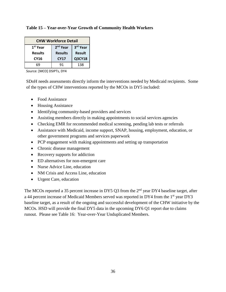#### **Table 15 – Year-over-Year Growth of Community Health Workers**

| <b>CHW Workforce Detail</b> |                                  |     |  |  |  |  |
|-----------------------------|----------------------------------|-----|--|--|--|--|
| 1 <sup>st</sup> Year        | 2 <sup>nd</sup> Year<br>3rd Year |     |  |  |  |  |
| <b>Results</b>              | <b>Results</b><br><b>Result</b>  |     |  |  |  |  |
| CY16                        | <b>Q3CY18</b><br><b>CY17</b>     |     |  |  |  |  |
|                             | 91                               | 138 |  |  |  |  |

Source: [MCO] DSIPTs, DY4

SDoH needs assessments directly inform the interventions needed by Medicaid recipients. Some of the types of CHW interventions reported by the MCOs in DY5 included:

- Food Assistance
- Housing Assistance
- Identifying community-based providers and services
- Assisting members directly in making appointments to social services agencies
- Checking EMR for recommended medical screening, pending lab tests or referrals
- Assistance with Medicaid, income support, SNAP, housing, employment, education, or other government programs and services paperwork
- PCP engagement with making appointments and setting up transportation
- Chronic disease management
- Recovery supports for addiction
- ED alternatives for non-emergent care
- Nurse Advice Line, education
- NM Crisis and Access Line, education
- Urgent Care, education

The MCOs reported a 35 percent increase in DY5 Q3 from the 2<sup>nd</sup> year DY4 baseline target, after a 44 percent increase of Medicaid Members served was reported in DY4 from the 1<sup>st</sup> year DY3 baseline target, as a result of the ongoing and successful development of the CHW initiative by the MCOs. HSD will provide the final DY5 data in the upcoming DY6 Q1 report due to claims runout. Please see Table 16: Year-over-Year Unduplicated Members.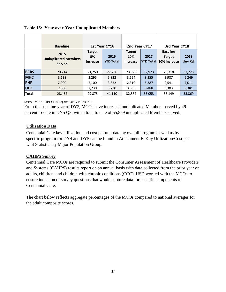|              | <b>Baseline</b>                                      | 1st Year CY16                          |                          | 2nd Year CY17                           |        | 3rd Year CY18                                                       |                 |
|--------------|------------------------------------------------------|----------------------------------------|--------------------------|-----------------------------------------|--------|---------------------------------------------------------------------|-----------------|
|              | 2015<br><b>Unduplicated Members</b><br><b>Served</b> | <b>Target</b><br>5%<br><b>Increase</b> | 2016<br><b>YTD Total</b> | <b>Target</b><br>10%<br><b>Increase</b> | 2017   | <b>Baseline</b><br><b>Target</b><br><b>YTD Total   10% Increase</b> | 2018<br>thru Q3 |
| <b>BCBS</b>  | 20,714                                               | 21,750                                 | 27,736                   | 23,925                                  | 32,923 | 26,318                                                              | 37,228          |
| <b>MHC</b>   | 3,138                                                | 3,295                                  | 5,822                    | 3,624                                   | 8,255  | 3,987                                                               | 5,249           |
| <b>PHP</b>   | 2,000                                                | 2,100                                  | 3,822                    | 2,310                                   | 5,387  | 2,541                                                               | 7,011           |
| <b>UHC</b>   | 2,600                                                | 2,730                                  | 3,730                    | 3,003                                   | 6,488  | 3,303                                                               | 6,381           |
| <b>Total</b> | 28,452                                               | 29,875                                 | 41,110                   | 32,862                                  | 53,053 | 36,149                                                              | 55,869          |

### **Table 16: Year-over-Year Unduplicated Members**

Source: MCO DSIPT CHW Reports -Q1CY14-Q3CY18

From the baseline year of DY2, MCOs have increased unduplicated Members served by 49 percent to-date in DY5 Q3, with a total to date of 55,869 unduplicated Members served.

### **Utilization Data**

Centennial Care key utilization and cost per unit data by overall program as well as by specific program for DY4 and DY5 can be found in Attachment F: Key Utilization/Cost per Unit Statistics by Major Population Group.

### **CAHPS Survey**

Centennial Care MCOs are required to submit the Consumer Assessment of Healthcare Providers and Systems (CAHPS) results report on an annual basis with data collected from the prior year on adults, children, and children with chronic conditions (CCC). HSD worked with the MCOs to ensure inclusion of survey questions that would capture data for specific components of Centennial Care.

The chart below reflects aggregate percentages of the MCOs compared to national averages for the adult composite scores.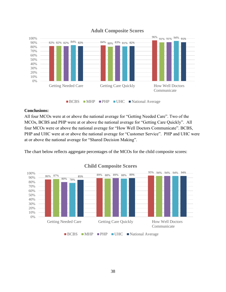

# **Adult Composite Scores**

# **Conclusions:**

All four MCOs were at or above the national average for "Getting Needed Care". Two of the MCOs, BCBS and PHP were at or above the national average for "Getting Care Quickly". All four MCOs were or above the national average for "How Well Doctors Communicate". BCBS, PHP and UHC were at or above the national average for "Customer Service". PHP and UHC were at or above the national average for "Shared Decision Making".

The chart below reflects aggregate percentages of the MCOs for the child composite scores:



# **Child Composite Scores**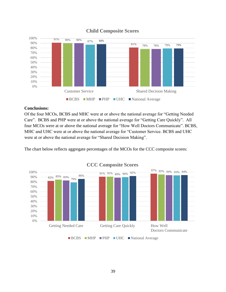

# **Child Composite Scores**

#### **Conclusions:**

Of the four MCOs, BCBS and MHC were at or above the national average for "Getting Needed Care". BCBS and PHP were at or above the national average for "Getting Care Quickly". All four MCOs were at or above the national average for "How Well Doctors Communicate". BCBS, MHC and UHC were at or above the national average for "Customer Service. BCBS and UHC were at or above the national average for "Shared Decision Making".

The chart below reflects aggregate percentages of the MCOs for the CCC composite scores:



**CCC Composite Scores**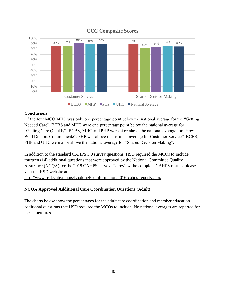

# **CCC Composite Scores**

## **Conclusions:**

Of the four MCO MHC was only one percentage point below the national average for the "Getting Needed Care". BCBS and MHC were one percentage point below the national average for "Getting Care Quickly". BCBS, MHC and PHP were at or above the national average for "How Well Doctors Communicate". PHP was above the national average for Customer Service". BCBS, PHP and UHC were at or above the national average for "Shared Decision Making".

In addition to the standard CAHPS 5.0 survey questions, HSD required the MCOs to include fourteen (14) additional questions that were approved by the National Committee Quality Assurance (NCQA) for the 2018 CAHPS survey. To review the complete CAHPS results, please visit the HSD website at:

<http://www.hsd.state.nm.us/LookingForInformation/2016-cahps-reports.aspx>

# **NCQA Approved Additional Care Coordination Questions (Adult)**

The charts below show the percentages for the adult care coordination and member education additional questions that HSD required the MCOs to include. No national averages are reported for these measures.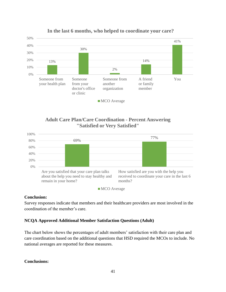

# **In the last 6 months, who helped to coordinate your care?**





#### **Conclusion:**

Survey responses indicate that members and their healthcare providers are most involved in the coordination of the member's care.

#### **NCQA Approved Additional Member Satisfaction Questions (Adult)**

The chart below shows the percentages of adult members' satisfaction with their care plan and care coordination based on the additional questions that HSD required the MCOs to include. No national averages are reported for these measures.

#### **Conclusions:**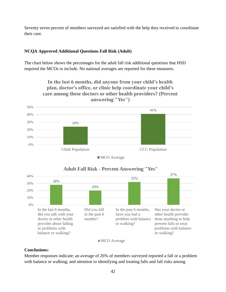Seventy seven percent of members surveyed are satisfied with the help they received to coordinate their care.

### **NCQA Approved Additional Questions Fall Risk (Adult)**

The chart below shows the percentages for the adult fall risk additional questions that HSD required the MCOs to include. No national averages are reported for these measures.





# **Adult Fall Risk - Percent Answering "Yes"**

**MCO** Average

### **Conclusions:**

Member responses indicate; an average of 26% of members surveyed reported a fall or a problem with balance or walking; and attention to identifying and treating falls and fall risks among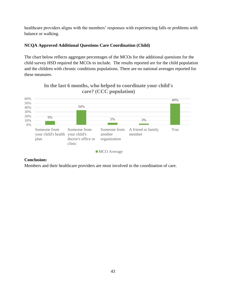healthcare providers aligns with the members' responses with experiencing falls or problems with balance or walking.

# **NCQA Approved Additional Questions Care Coordination (Child)**

The chart below reflects aggregate percentages of the MCOs for the additional questions for the child survey HSD required the MCOs to include. The results reported are for the child population and the children with chronic conditions populations. There are no national averages reported for these measures.



# **In the last 6 months, who helped to coordinate your child's care? (CCC population)**

### **Conclusion:**

Members and their healthcare providers are most involved in the coordination of care.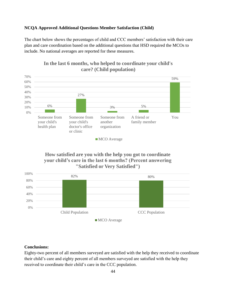# **NCQA Approved Additional Questions Member Satisfaction (Child)**

The chart below shows the percentages of child and CCC members' satisfaction with their care plan and care coordination based on the additional questions that HSD required the MCOs to include. No national averages are reported for these measures.



# **In the last 6 months, who helped to coordinate your child's care? (Child population)**

**How satisfied are you with the help you got to coordinate your child's care in the last 6 months? (Percent answering "Satisfied or Very Satisfied")**



### **Conclusions:**

Eighty-two percent of all members surveyed are satisfied with the help they received to coordinate their child's care and eighty percent of all members surveyed are satisfied with the help they received to coordinate their child's care in the CCC population.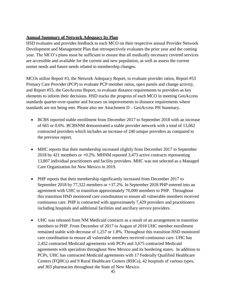## **Annual Summary of Network Adequacy by Plan**

HSD evaluates and provides feedback to each MCO on their respective annual Provider Network Development and Management Plan that retrospectively evaluates the prior year and the coming year. The MCO's plans must be sufficient to ensure that all medically necessary covered services are accessible and available for the current and new population, as well as assess the current unmet needs and future needs related to membership changes.

MCOs utilize Report #3, the Network Adequacy Report, to evaluate provider ratios, Report #53 Primary Care Provider (PCP) to evaluate PCP member ratios, open panels and change activity, and Report #55, the GeoAccess Report, to evaluate distance requirements to providers as key elements to inform their decisions. HSD tracks the progress of each MCO in meeting GeoAccess standards quarter-over-quarter and focuses on improvements to distance requirements where standards are not being met. Please also see Attachment D – GeoAccess PH Summary.

- BCBS reported stable enrollment from December 2017 to September 2018 with an increase of 665 or 0.6%. BCBSNM demonstrated a stable provider network with a total of 13,662 contracted providers which includes an increase of 240 unique providers as compared to the previous report.
- MHC reports that their membership increased slightly from December 2017 to September 2018 by 421 members or +0.2%. MHNM reported 3,473 active contracts representing 13,807 individual practitioners and facility providers. MHC was not selected as a Managed Care Organization for New Mexico in 2019.
- PHP reports that their membership significantly increased from December 2017 to September 2018 by 77,322 members or +37.2%. In September 2018 PHP entered into an agreement with UHC to transition approximately 70,000 members to PHP. Throughout this transition HSD monitored care coordination to ensure all vulnerable members received continuous care. PHP is contracted with approximately 7,429 providers and practitioners including hospitals and additional facilities and ancillary service providers.
- UHC was released from NM Medicaid contracts as a result of an arrangement to transition members to PHP. From December of 2017 to August of 2018 UHC member enrollment remained stable with decrease of 1,257 or 1.8%. Throughout this transition HSD monitored care coordination to ensure all vulnerable members received continuous care. UHC has 2,452 contracted Medicaid agreements with PCPs and 3,675 contracted Medicaid agreements with specialists throughout New Mexico and its bordering states. In addition to PCPs, UHC has contracted Medicaid agreements with 17 Federally Qualified Healthcare Centers (FQHCs) and 9 Rural Healthcare Centers (RHCs), 42 hospitals of various types, and 303 pharmacies throughout the State of New Mexico.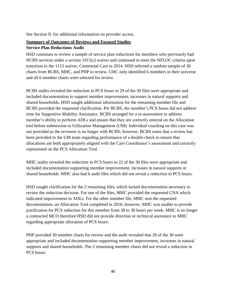See Section II. for additional information on provider access.

## **Summary of Outcomes of Reviews and Focused Studies**

#### **Service Plan Reductions Audit**

HSD continues to review a sample of service plan reductions for members who previously had HCBS services under a section 1915(c) waiver and continued to meet the NFLOC criteria upon transition to the 1115 waiver, Centennial Care in 2014. HSD selected a random sample of 30 charts from BCBS, MHC, and PHP to review. UHC only identified 6 members in their universe and all 6 member charts were selected for review.

BCBS audits revealed the reduction in PCS hours in 29 of the 30 files were appropriate and included documentation to support member improvement, increases in natural supports and shared households. HSD sought additional information for the remaining member file and BCBS provided the requested clarification. Per BCBS, the member's PCS hours did not address time for Supportive Mobility Assistance. BCBS arranged for a re-assessment to address member's ability to perform ADLs and ensure that they are correctly entered on the Allocation tool before submission to Utilization Management (UM). Individual coaching on this case was not provided as the reviewer is no longer with BCBS; however, BCBS notes that a review has been provided to the UM team regarding performance of a double-check to ensure that allocations are both appropriately aligned with the Care Coordinator's assessment and correctly represented on the PCS Allocation Tool.

MHC audits revealed the reduction in PCS hours in 22 of the 30 files were appropriate and included documentation supporting member improvement, increases in natural supports or shared households. MHC also had 6 audit files which did not reveal a reduction in PCS hours.

HSD sought clarification for the 2 remaining files, which lacked documentation necessary to review the reduction decision. For one of the files, MHC provided the requested CNA which indicated improvement in ADLs. For the other member file, MHC sent the requested documentation, an Allocation Tool completed in 2016; however, MHC was unable to provide justification for PCS reduction for this member from 38 to 30 hours per week. MHC is no longer a contracted MCO therefore HSD did not provide direction or technical assistance to MHC regarding appropriate allocation of PCS hours.

PHP provided 30 member charts for review and the audit revealed that 28 of the 30 were appropriate and included documentation supporting member improvement, increases in natural supports and shared households. The 2 remaining member charts did not reveal a reduction in PCS hours.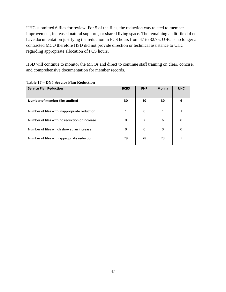UHC submitted 6 files for review. For 5 of the files, the reduction was related to member improvement, increased natural supports, or shared living space. The remaining audit file did not have documentation justifying the reduction in PCS hours from 47 to 32.75. UHC is no longer a contracted MCO therefore HSD did not provide direction or technical assistance to UHC regarding appropriate allocation of PCS hours.

HSD will continue to monitor the MCOs and direct to continue staff training on clear, concise, and comprehensive documentation for member records.

| <b>Service Plan Reduction</b>                 | <b>BCBS</b> | <b>PHP</b> | <b>Molina</b> | <b>UHC</b> |
|-----------------------------------------------|-------------|------------|---------------|------------|
| Number of member files audited                | 30          | 30         | 30            | 6          |
| Number of files with inappropriate reduction  |             | $\Omega$   | 1             |            |
| Number of files with no reduction or increase | 0           | 2          | 6             | 0          |
| Number of files which showed an increase      | 0           | 0          | 0             |            |
| Number of files with appropriate reduction    | 29          | 28         | 23            | 5          |

#### **Table 17 – DY5 Service Plan Reduction**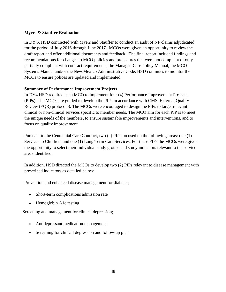### **Myers & Stauffer Evaluation**

In DY 5, HSD contracted with Myers and Stauffer to conduct an audit of NF claims adjudicated for the period of July 2016 through June 2017. MCOs were given an opportunity to review the draft report and offer additional documents and feedback. The final report included findings and recommendations for changes to MCO policies and procedures that were not compliant or only partially compliant with contract requirements, the Managed Care Policy Manual, the MCO Systems Manual and/or the New Mexico Administrative Code. HSD continues to monitor the MCOs to ensure polices are updated and implemented.

## **Summary of Performance Improvement Projects**

In DY4 HSD required each MCO to implement four (4) Performance Improvement Projects (PIPs). The MCOs are guided to develop the PIPs in accordance with CMS, External Quality Review (EQR) protocol 3. The MCOs were encouraged to design the PIPs to target relevant clinical or non-clinical services specific to member needs. The MCO aim for each PIP is to meet the unique needs of the members, to ensure sustainable improvements and interventions, and to focus on quality improvement.

Pursuant to the Centennial Care Contract, two (2) PIPs focused on the following areas: one (1) Services to Children; and one (1) Long Term Care Services. For these PIPs the MCOs were given the opportunity to select their individual study groups and study indicators relevant to the service areas identified.

In addition, HSD directed the MCOs to develop two (2) PIPs relevant to disease management with prescribed indicators as detailed below:

Prevention and enhanced disease management for diabetes;

- Short-term complications admission rate
- Hemoglobin A1c testing

Screening and management for clinical depression;

- Antidepressant medication management
- Screening for clinical depression and follow-up plan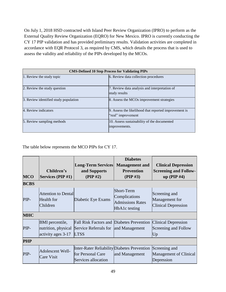On July 1, 2018 HSD contracted with Island Peer Review Organization (IPRO) to perform as the External Quality Review Organization (EQRO) for New Mexico. IPRO is currently conducting the CY 17 PIP validation and has provided preliminary results. Validation activities are completed in accordance with EQR Protocol 3, as required by CMS, which details the process that is used to assess the validity and reliability of the PIPs developed by the MCOs.

| <b>CMS-Defined 10 Step Process for Validating PIPs</b> |                                                                             |  |  |  |
|--------------------------------------------------------|-----------------------------------------------------------------------------|--|--|--|
| 1. Review the study topic                              | 6. Review data collection procedures                                        |  |  |  |
| 2. Review the study question                           | 7. Review data analysis and interpretation of<br>study results              |  |  |  |
| 3. Review identified study population                  | 8. Assess the MCOs improvement strategies                                   |  |  |  |
| 4. Review indicators                                   | 9. Assess the likelihood that reported improvement is<br>"real" improvement |  |  |  |
| 5. Review sampling methods                             | 10. Assess sustainability of the documented<br>improvements.                |  |  |  |

The table below represents the MCO PIPs for CY 17.

| <b>MCO</b><br><b>BCBS</b> | Children's<br><b>Services (PIP #1)</b>               | <b>Long-Term Services</b><br>and Supports<br>$(PIP \#2)$                                                     | <b>Diabetes</b><br><b>Management and</b><br><b>Prevention</b><br>$(PIP \#3)$ | <b>Clinical Depression</b><br><b>Screening and Follow-</b><br>$up$ (PIP #4) |
|---------------------------|------------------------------------------------------|--------------------------------------------------------------------------------------------------------------|------------------------------------------------------------------------------|-----------------------------------------------------------------------------|
| PIP-                      | <b>Attention to Dental</b><br>Health for<br>Children | Diabetic Eye Exams                                                                                           | Short-Term<br>Complications<br><b>Admissions Rates</b><br>HbA1c testing      | Screening and<br>Management for<br><b>Clinical Depression</b>               |
| <b>MHC</b>                |                                                      |                                                                                                              |                                                                              |                                                                             |
| PIP-                      | BMI percentile,<br>activity ages 3-17                | <b>Fall Risk Factors and Diabetes Prevention</b><br>nutrition, physical Service Referrals for<br><b>LTSS</b> | and Management                                                               | <b>Clinical Depression</b><br>Screening and Follow<br>Up                    |
| <b>PHP</b>                |                                                      |                                                                                                              |                                                                              |                                                                             |
| PIP-                      | Adolescent Well-<br><b>Care Visit</b>                | Inter-Rater Reliability Diabetes Prevention<br>for Personal Care<br>Services allocation                      | and Management                                                               | Screening and<br>Management of Clinical<br>Depression                       |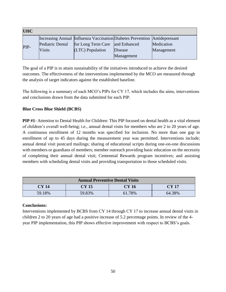| <b>UHC</b> |                  |                                                                            |            |            |
|------------|------------------|----------------------------------------------------------------------------|------------|------------|
|            |                  | Increasing Annual Influenza Vaccination Diabetes Prevention Antidepressant |            |            |
| PIP-       | Pediatric Dental | for Long Term Care and Enhanced                                            |            | Medication |
|            | <b>Visits</b>    | $(LTC)$ Population                                                         | Disease    | Management |
|            |                  |                                                                            | Management |            |

The goal of a PIP is to attain sustainability of the initiatives introduced to achieve the desired outcomes. The effectiveness of the interventions implemented by the MCO are measured through the analysis of target indicators against the established baseline.

The following is a summary of each MCO's PIPs for CY 17, which includes the aims, interventions and conclusions drawn from the data submitted for each PIP.

## **Blue Cross Blue Shield (BCBS)**

**PIP #1-** Attention to Dental Health for Children: This PIP focused on dental health as a vital element of children's overall well-being; i.e., annual dental visits for members who are 2 to 20 years of age. A continuous enrollment of 12 months was specified for inclusion. No more than one gap in enrollment of up to 45 days during the measurement year was permitted. Interventions include; annual dental visit postcard mailings; sharing of educational scripts during one-on-one discussions with members or guardians of members; member outreach providing basic education on the necessity of completing their annual dental visit; Centennial Rewards program incentives; and assisting members with scheduling dental visits and providing transportation to those scheduled visits.

| <b>Annual Preventive Dental Visits</b>                       |  |  |  |  |  |
|--------------------------------------------------------------|--|--|--|--|--|
| <b>CY 15</b><br><b>CY 14</b><br><b>CY 17</b><br><b>CY 16</b> |  |  |  |  |  |
| 64.38%<br>59.18%<br>59.83%<br>.78%<br>61                     |  |  |  |  |  |

### **Conclusions:**

Interventions implemented by BCBS from CY 14 through CY 17 to increase annual dental visits in children 2 to 20 years of age had a positive increase of 5.2 percentage points. In review of the 4 year PIP implementation, this PIP shows effective improvement with respect to BCBS's goals.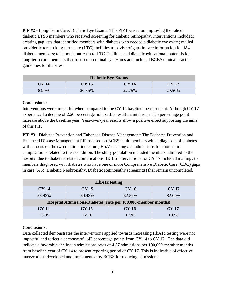**PIP #2 -** Long-Term Care: Diabetic Eye Exams: This PIP focused on improving the rate of diabetic LTSS members who received screening for diabetic retinopathy. Interventions included; creating gap lists that identified members with diabetes who needed a diabetic eye exam; mailed provider letters to long-term care (LTC) facilities to advise of gaps in care information for 184 diabetic members; telephonic outreach to LTC Facilities and diabetic educational materials for long-term care members that focused on retinal eye exams and included BCBS clinical practice guidelines for diabetes.

| <b>Diabetic Eye Exams</b>                                    |  |  |  |  |  |
|--------------------------------------------------------------|--|--|--|--|--|
| <b>CY 15</b><br><b>CY 14</b><br><b>CY 17</b><br><b>CY 16</b> |  |  |  |  |  |
| 8.90%<br>20.50%<br>20.35%<br>22.76%                          |  |  |  |  |  |

#### **Conclusions:**

Interventions were impactful when compared to the CY 14 baseline measurement. Although CY 17 experienced a decline of 2.26 percentage points, this result maintains an 11.6 percentage point increase above the baseline year. Year-over-year results show a positive effect supporting the aims of this PIP.

**PIP #3 -** Diabetes Prevention and Enhanced Disease Management: The Diabetes Prevention and Enhanced Disease Management PIP focused on BCBS adult members with a diagnosis of diabetes with a focus on the two required indicators, HbA1c testing and admissions for short-term complications related to their condition. The study population included members admitted to the hospital due to diabetes-related complications. BCBS interventions for CY 17 included mailings to members diagnosed with diabetes who have one or more Comprehensive Diabetic Care (CDC) gaps in care (A1c, Diabetic Nephropathy, Diabetic Retinopathy screenings) that remain uncompleted.

| <b>HbA1c</b> testing                                          |              |              |              |  |  |
|---------------------------------------------------------------|--------------|--------------|--------------|--|--|
| <b>CY 14</b>                                                  | <b>CY 15</b> | <b>CY 16</b> | <b>CY 17</b> |  |  |
| 83.42%                                                        | 80.43%       | 82.56%       | 82.00%       |  |  |
| Hospital Admissions/Diabetes (rate per 100,000-member months) |              |              |              |  |  |
| <b>CY 14</b>                                                  | <b>CY 15</b> | <b>CY 16</b> | <b>CY 17</b> |  |  |
| 23.35                                                         | 22.16        | 17.93        | 18.98        |  |  |

### **Conclusions:**

Data collected demonstrates the interventions applied towards increasing HbA1c testing were not impactful and reflect a decrease of 1.42 percentage points from CY 14 to CY 17. The data did indicate a favorable decline in admissions rates of 4.37 admissions per 100,000-member months from baseline year of CY 14 to present reporting period of CY 17. This is indicative of effective interventions developed and implemented by BCBS for reducing admissions.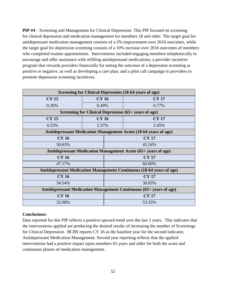**PIP #4** – Screening and Management for Clinical Depression: This PIP focused on screening for clinical depression and medication management for members 18 and older. The target goal for antidepressant medication management consists of a 2% improvement over 2016 outcomes, while the target goal for depression screening consists of a 10% increase over 2016 outcomes of members who completed routine appointments. Interventions included engaging members telephonically to encourage and offer assistance with refilling antidepressant medications; a provider incentive program that rewards providers financially for noting the outcome of a depression screening as positive or negative, as well as developing a care plan; and a pilot call campaign to providers to promote depression screening incentives.

| Screening for Clinical Depression (18-64 years of age)             |              |              |                                                                             |  |
|--------------------------------------------------------------------|--------------|--------------|-----------------------------------------------------------------------------|--|
| <b>CY 15</b>                                                       | <b>CY 16</b> |              | <b>CY 17</b>                                                                |  |
| 0.36%                                                              | 0.49%        |              | 0.77%                                                                       |  |
|                                                                    |              |              | Screening for Clinical Depression (65+ years of age)                        |  |
| <b>CY 15</b>                                                       | <b>CY 16</b> |              | <b>CY 17</b>                                                                |  |
| 4.55%                                                              | 2.37%        |              | 3.45%                                                                       |  |
|                                                                    |              |              | Antidepressant Medication Management Acute (18-64 years of age)             |  |
| <b>CY 16</b>                                                       |              |              | <b>CY 17</b>                                                                |  |
| 50.63%                                                             |              |              | 45.54%                                                                      |  |
|                                                                    |              |              | Antidepressant Medication Management Acute (65+ years of age)               |  |
| <b>CY 16</b><br><b>CY 17</b>                                       |              |              |                                                                             |  |
| 47.17%                                                             |              |              | 60.00%                                                                      |  |
|                                                                    |              |              | <b>Antidepressant Medication Management Continuous (18-64 years of age)</b> |  |
| <b>CY 16</b>                                                       |              | <b>CY 17</b> |                                                                             |  |
| 34.54%                                                             |              | 30.83%       |                                                                             |  |
| Antidepressant Medication Management Continuous (65+ years of age) |              |              |                                                                             |  |
| <b>CY 16</b>                                                       |              | <b>CY 17</b> |                                                                             |  |
| 32.08%                                                             | 53.33%       |              |                                                                             |  |

#### **Conclusions:**

Data reported for this PIP reflects a positive upward trend over the last 3 years. This indicates that the interventions applied are producing the desired results of increasing the number of Screenings for Clinical Depression. BCBS reports CY 16 as the baseline year for the second indicator, Antidepressant Medication Management. Second year reporting reflects that the applied interventions had a positive impact upon members 65 years and older for both the acute and continuous phases of medication management.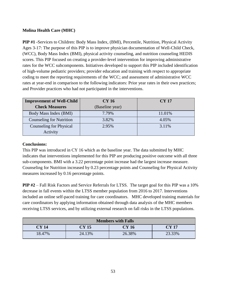# **Molina Health Care (MHC)**

**PIP #1 -**Services to Children: Body Mass Index, (BMI), Percentile, Nutrition, Physical Activity Ages 3-17: The purpose of this PIP is to improve physician documentation of Well-Child Check, (WCC), Body Mass Index (BMI), physical activity counseling, and nutrition counseling HEDIS scores. This PIP focused on creating a provider-level intervention for improving administrative rates for the WCC subcomponents. Initiatives developed to support this PIP included identification of high-volume pediatric providers; provider education and training with respect to appropriate coding to meet the reporting requirements of the WCC; and assessment of administrative WCC rates at year-end in comparison to the following indicators: Prior year rates in their own practices; and Provider practices who had not participated in the interventions.

| <b>Improvement of Well-Child</b> | <b>CY 16</b>    | <b>CY 17</b> |
|----------------------------------|-----------------|--------------|
| <b>Check Measures</b>            | (Baseline year) |              |
| Body Mass Index (BMI)            | 7.79%           | 11.01%       |
| <b>Counseling for Nutrition</b>  | 3.82%           | 4.05%        |
| <b>Counseling for Physical</b>   | 2.95%           | 3.11%        |
| Activity                         |                 |              |

### **Conclusions:**

This PIP was introduced in CY 16 which as the baseline year. The data submitted by MHC indicates that interventions implemented for this PIP are producing positive outcome with all three sub-components. BMI with a 3.22 percentage point increase had the largest increase measure. Counseling for Nutrition increased by 0.23 percentage points and Counseling for Physical Activity measures increased by 0.16 percentage points.

**PIP #2** – Fall Risk Factors and Service Referrals for LTSS. The target goal for this PIP was a 10% decrease in fall events within the LTSS member population from 2016 to 2017. Interventions included an online self-paced training for care coordinators. MHC developed training materials for care coordinators by applying information obtained through data analysis of the MHC members receiving LTSS services, and by utilizing external research on fall risks in the LTSS populations.

| <b>Members with Falls</b>                                    |        |        |        |  |  |
|--------------------------------------------------------------|--------|--------|--------|--|--|
| <b>CY 14</b><br><b>CY 15</b><br><b>CY 16</b><br><b>CY 17</b> |        |        |        |  |  |
| 18.47%                                                       | 24.13% | 26.38% | 23.33% |  |  |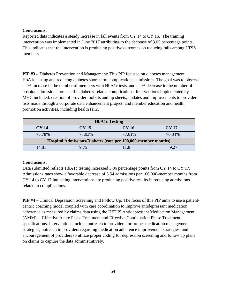Reported data indicates a steady increase in fall events from CY 14 to CY 16. The training intervention was implemented in June 2017 attributing to the decrease of 3.05 percentage points. This indicates that the intervention is producing positive outcomes on reducing falls among LTSS members.

**PIP #3 –** Diabetes Prevention and Management: This PIP focused on diabetes management, HbA1c testing and reducing diabetes short-term complications admissions. The goal was to observe a 2% increase in the number of members with HbA1c tests, and a 2% decrease in the number of hospital admissions for specific diabetes-related complications. Interventions implemented by MHC included: creation of provider toolkits and tip sheets; updates and improvements to provider lists made through a corporate data enhancement project; and member education and health promotion activities, including health fairs.

| <b>HbA1c Testing</b>                                          |        |        |        |  |
|---------------------------------------------------------------|--------|--------|--------|--|
| <b>CY 14</b><br><b>CY 15</b><br><b>CY 17</b><br><b>CY 16</b>  |        |        |        |  |
| 73.78%                                                        | 77.03% | 77.61% | 76.84% |  |
| Hospital Admissions/Diabetes (rate per 100,000-member months) |        |        |        |  |
| 9.75<br>11.8<br>14.81<br>9.27                                 |        |        |        |  |

# **Conclusions:**

Data submitted reflects HbA1c testing increased 3.06 percentage points from CY 14 to CY 17. Admissions rates show a favorable decrease of 5.54 admissions per 100,000-member months from CY 14 to CY 17 indicating interventions are producing positive results in reducing admissions related to complications.

**PIP #4** – Clinical Depression Screening and Follow Up: The focus of this PIP aims to use a patientcentric coaching model coupled with care coordination to improve antidepressant medication adherence as measured by claims data using the HEDIS Antidepressant Medication Management (AMM), – Effective Acute Phase Treatment and Effective Continuation Phase Treatment specifications. Interventions include outreach to providers for proper medication management strategies; outreach to providers regarding medication adherence improvement strategies; and encouragement of providers to utilize proper coding for depression screening and follow up plans on claims to capture the data administratively.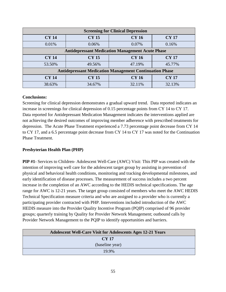| <b>Screening for Clinical Depression</b>                       |              |              |              |
|----------------------------------------------------------------|--------------|--------------|--------------|
| <b>CY 14</b>                                                   | <b>CY 15</b> | <b>CY 16</b> | <b>CY 17</b> |
| 0.01%                                                          | 0.06%        | 0.07%        | 0.16%        |
| <b>Antidepressant Medication Management Acute Phase</b>        |              |              |              |
| <b>CY 14</b>                                                   | <b>CY 15</b> | <b>CY 16</b> | <b>CY 17</b> |
| 53.50%                                                         | 49.56%       | 47.19%       | 45.77%       |
| <b>Antidepressant Medication Management Continuation Phase</b> |              |              |              |
| <b>CY 14</b>                                                   | <b>CY 15</b> | <b>CY 16</b> | <b>CY 17</b> |
| 38.63%                                                         | 34.67%       | 32.11%       | 32.13%       |

Screening for clinical depression demonstrates a gradual upward trend. Data reported indicates an increase in screenings for clinical depression of 0.15 percentage points from CY 14 to CY 17. Data reported for Antidepressant Medication Management indicates the interventions applied are not achieving the desired outcomes of improving member adherence with prescribed treatments for depression. The Acute Phase Treatment experienced a 7.73 percentage point decrease from CY 14 to CY 17, and a 6.5 percentage point decrease from CY 14 to CY 17 was noted for the Continuation Phase Treatment.

### **Presbyterian Health Plan (PHP)**

**PIP #1**- Services to Children- Adolescent Well-Care (AWC) Visit: This PIP was created with the intention of improving well care for the adolescent target group by assisting in prevention of physical and behavioral health conditions, monitoring and tracking developmental milestones, and early identification of disease processes. The measurement of success includes a two percent increase in the completion of an AWC according to the HEDIS technical specifications. The age range for AWC is 12-21 years. The target group consisted of members who meet the AWC HEDIS Technical Specification measure criteria and who are assigned to a provider who is currently a participating provider contracted with PHP. Interventions included introduction of the AWC HEDIS measure into the Provider Quality Incentive Program (PQIP) comprised of 96 provider groups; quarterly training by Quality for Provider Network Management; outbound calls by Provider Network Management to the PQIP to identify opportunities and barriers.

| <b>Adolescent Well-Care Visit for Adolescents Ages 12-21 Years</b> |  |  |
|--------------------------------------------------------------------|--|--|
| <b>CY 17</b>                                                       |  |  |
| (baseline year)                                                    |  |  |
| 19.9%                                                              |  |  |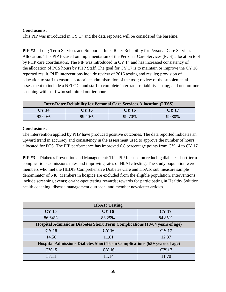This PIP was introduced in CY 17 and the data reported will be considered the baseline.

**PIP #2** – Long-Term Services and Supports. Inter-Rater Reliability for Personal Care Services Allocation: This PIP focused on implementation of the Personal Care Services (PCS) allocation tool by PHP care coordinators. The PIP was introduced in CY 14 and has increased consistency of the allocation of PCS hours by PHP Staff. The goal for CY 17 is to maintain or improve the CY 16 reported result. PHP interventions include review of 2016 testing and results; provision of education to staff to ensure appropriate administration of the tool; review of the supplemental assessment to include a NFLOC; and staff to complete inter-rater reliability testing; and one-on-one coaching with staff who submitted outlier hours.

| <b>Inter-Rater Reliability for Personal Care Services Allocation (LTSS)</b> |        |        |              |
|-----------------------------------------------------------------------------|--------|--------|--------------|
| CY 14                                                                       | CY 15  | CY 16  | <b>CY 17</b> |
| 93.00%                                                                      | 99.40% | 99.70% | 99.80%       |

## **Conclusions:**

The intervention applied by PHP have produced positive outcomes. The data reported indicates an upward trend in accuracy and consistency in the assessment used to approve the number of hours allocated for PCS. The PIP performance has improved 6.8 percentage points from CY 14 to CY 17.

**PIP #3** – Diabetes Prevention and Management: This PIP focused on reducing diabetes short-term complications admissions rates and improving rates of HbA1c testing. The study population were members who met the HEDIS Comprehensive Diabetes Care and HbA1c sub measure sample denominator of 548. Members in hospice are excluded from the eligible population. Interventions include screening events; on-the-spot testing rewards; rewards for participating in Healthy Solution health coaching; disease management outreach; and member newsletter articles.

| <b>HbA1c Testing</b>                                                       |              |              |  |
|----------------------------------------------------------------------------|--------------|--------------|--|
| <b>CY 15</b>                                                               | <b>CY 16</b> | <b>CY 17</b> |  |
| 86.64%                                                                     | 83.25%       | 84.85%       |  |
| Hospital Admissions Diabetes Short Term Complications (18-64 years of age) |              |              |  |
| <b>CY 15</b>                                                               | <b>CY 16</b> | <b>CY 17</b> |  |
| 14.56                                                                      | 11.81        | 12.37        |  |
| Hospital Admissions Diabetes Short Term Complications (65+ years of age)   |              |              |  |
| <b>CY 15</b>                                                               | <b>CY 16</b> | <b>CY 17</b> |  |
| 37 11                                                                      | 11.14        | 11.70        |  |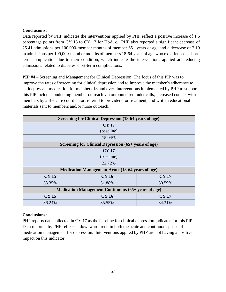Data reported by PHP indicates the interventions applied by PHP reflect a positive increase of 1.6 percentage points from CY 16 to CY 17 for HbA1c. PHP also reported a significant decrease of 25.41 admissions per 100,000-member months of member 65+ years of age and a decrease of 2.19 in admissions per 100,000-member months of members 18-64 years of age who experienced a shortterm complication due to their condition, which indicate the interventions applied are reducing admissions related to diabetes short-term complications.

**PIP #4** – Screening and Management for Clinical Depression: The focus of this PIP was to improve the rates of screening for clinical depression and to improve the member's adherence to antidepressant medication for members 18 and over. Interventions implemented by PHP to support this PIP include conducting member outreach via outbound reminder calls; increased contact with members by a BH care coordinator; referral to providers for treatment; and written educational materials sent to members and/or nurse outreach.

| Screening for Clinical Depression (18-64 years of age)     |                                                      |              |  |  |
|------------------------------------------------------------|------------------------------------------------------|--------------|--|--|
|                                                            | <b>CY 17</b>                                         |              |  |  |
|                                                            | (baseline)                                           |              |  |  |
|                                                            | 15.04%                                               |              |  |  |
|                                                            | Screening for Clinical Depression (65+ years of age) |              |  |  |
| <b>CY 17</b>                                               |                                                      |              |  |  |
|                                                            | (baseline)                                           |              |  |  |
| 22.72%                                                     |                                                      |              |  |  |
| <b>Medication Management Acute (18-64 years of age)</b>    |                                                      |              |  |  |
| <b>CY 15</b>                                               | <b>CY 16</b>                                         | <b>CY 17</b> |  |  |
| 53.35%                                                     | 51.88%<br>50.59%                                     |              |  |  |
| <b>Medication Management Continuous (65+ years of age)</b> |                                                      |              |  |  |
| <b>CY 15</b>                                               | <b>CY 16</b>                                         | <b>CY 17</b> |  |  |
| 36.24%                                                     | 35.55%                                               | 34.31%       |  |  |

### **Conclusions:**

PHP reports data collected in CY 17 as the baseline for clinical depression indicator for this PIP. Data reported by PHP reflects a downward trend in both the acute and continuous phase of medication management for depression. Interventions applied by PHP are not having a positive impact on this indicator.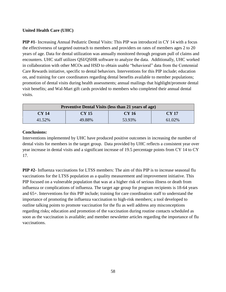# **United Health Care (UHC)**

**PIP #1**- Increasing Annual Pediatric Dental Visits: This PIP was introduced in CY 14 with a focus the effectiveness of targeted outreach to members and providers on rates of members ages 2 to 20 years of age. Data for dental utilization was annually monitored through program pull of claims and encounters. UHC staff utilizes QSI/QSHR software to analyze the data. Additionally, UHC worked in collaboration with other MCOs and HSD to obtain usable "behavioral" data from the Centennial Care Rewards initiative, specific to dental behaviors. Interventions for this PIP include; education on, and training for care coordinators regarding dental benefits available to member populations; promotion of dental visits during health assessments; annual mailings that highlight/promote dental visit benefits; and Wal-Mart gift cards provided to members who completed their annual dental visits.

| <b>Preventive Dental Visits (less than 21 years of age)</b> |  |  |  |  |
|-------------------------------------------------------------|--|--|--|--|
| <b>CY 15</b><br>CY 14<br>CY 16<br>CY 17                     |  |  |  |  |
| 49.88%<br>61.02%<br>53.93%<br>41.52%                        |  |  |  |  |

### **Conclusions:**

Interventions implemented by UHC have produced positive outcomes in increasing the number of dental visits for members in the target group. Data provided by UHC reflects a consistent year over year increase in dental visits and a significant increase of 19.5 percentage points from CY 14 to CY 17.

**PIP #2**- Influenza vaccinations for LTSS members: The aim of this PIP is to increase seasonal flu vaccinations for the LTSS population as a quality measurement and improvement initiative. This PIP focused on a vulnerable population that was at a higher risk of serious illness or death from influenza or complications of influenza. The target age group for program recipients is 18-64 years and 65+. Interventions for this PIP include; training for care coordination staff to understand the importance of promoting the influenza vaccination to high-risk members; a tool developed to outline talking points to promote vaccination for the flu as well address any misconceptions regarding risks; education and promotion of the vaccination during routine contacts scheduled as soon as the vaccination is available; and member newsletter articles regarding the importance of flu vaccinations.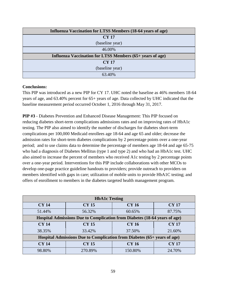| Influenza Vaccination for LTSS Members (18-64 years of age) |  |  |
|-------------------------------------------------------------|--|--|
| <b>CY 17</b>                                                |  |  |
| (baseline year)                                             |  |  |
| 46.00%                                                      |  |  |
| Influenza Vaccination for LTSS Members (65+ years of age)   |  |  |
| <b>CY 17</b>                                                |  |  |
| (baseline year)                                             |  |  |
| 63.40%                                                      |  |  |

This PIP was introduced as a new PIP for CY 17. UHC noted the baseline as 46% members 18-64 years of age, and 63.40% percent for 65+ years of age. Data collected by UHC indicated that the baseline measurement period occurred October 1, 2016 through May 31, 2017.

**PIP #3** - Diabetes Prevention and Enhanced Disease Management: This PIP focused on reducing diabetes short-term complications admissions rates and on improving rates of HbA1c testing. The PIP also aimed to identify the number of discharges for diabetes short-term complications per 100,000 Medicaid enrollees age 18-64 and age 65 and older; decrease the admission rates for short-term diabetes complications by 2 percentage points over a one-year period; and to use claims data to determine the percentage of members age 18-64 and age 65-75 who had a diagnosis of Diabetes Mellitus (type 1 and type 2) and who had an HbA1c test. UHC also aimed to increase the percent of members who received A1c testing by 2 percentage points over a one-year period. Interventions for this PIP include collaborations with other MCOs to develop one-page practice guideline handouts to providers; provide outreach to providers on members identified with gaps in care; utilization of mobile units to provide HbA1C testing; and offers of enrollment to members in the diabetes targeted health management program.

| <b>HbA1c Testing</b>                                                       |              |              |              |
|----------------------------------------------------------------------------|--------------|--------------|--------------|
| <b>CY 14</b>                                                               | <b>CY 15</b> | <b>CY 16</b> | <b>CY 17</b> |
| 51.44%                                                                     | 56.32%       | 60.65%       | 87.75%       |
| Hospital Admissions Due to Complication from Diabetes (18-64 years of age) |              |              |              |
| <b>CY 14</b>                                                               | <b>CY 15</b> | <b>CY 16</b> | <b>CY 17</b> |
| 38.35%                                                                     | 33.42%       | 37.50%       | 21.60%       |
| Hospital Admissions Due to Complication from Diabetes (65+ years of age)   |              |              |              |
| <b>CY 14</b>                                                               | <b>CY 15</b> | <b>CY 16</b> | <b>CY 17</b> |
| 98.80%                                                                     | 270.89%      | 150.80%      | 24.70%       |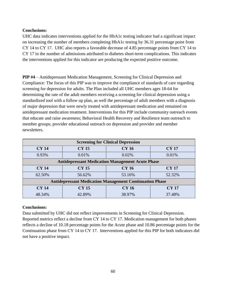UHC data indicates interventions applied for the HbA1c testing indicator had a significant impact on increasing the number of members completing HbA1c testing by 36.31 percentage point from CY 14 to CY 17. UHC also reports a favorable decrease of 4.85 percentage points from CY 14 to CY 17 in the number of admissions attributed to diabetes short-term complications. This indicates the interventions applied for this indicator are producing the expected positive outcome.

**PIP #4** – Antidepressant Medication Management, Screening for Clinical Depression and Compliance: The focus of this PIP was to improve the compliance of standards of care regarding screening for depression for adults. The Plan included all UHC members ages 18-64 for determining the rate of the adult members receiving a screening for clinical depression using a standardized tool with a follow up plan, as well the percentage of adult members with a diagnosis of major depression that were newly treated with antidepressant medication and remained on antidepressant medication treatment. Interventions for this PIP include community outreach events that educate and raise awareness; Behavioral Health Recovery and Resilience team outreach to member groups; provider educational outreach on depression and provider and member newsletters.

| <b>Screening for Clinical Depression</b>                       |              |              |              |
|----------------------------------------------------------------|--------------|--------------|--------------|
| <b>CY 14</b>                                                   | <b>CY 15</b> | <b>CY 16</b> | <b>CY 17</b> |
| 0.93%                                                          | 0.01%        | 0.02%        | 0.01%        |
| <b>Antidepressant Medication Management Acute Phase</b>        |              |              |              |
| <b>CY 14</b>                                                   | <b>CY 15</b> | <b>CY 16</b> | <b>CY 17</b> |
| 62.50%                                                         | 56.62%       | 53.16%       | 52.32%       |
| <b>Antidepressant Medication Management Continuation Phase</b> |              |              |              |
| <b>CY 14</b>                                                   | <b>CY 15</b> | <b>CY 16</b> | <b>CY 17</b> |
| 48.34%                                                         | 42.89%       | 38.97%       | 37.48%       |

### **Conclusions:**

Data submitted by UHC did not reflect improvements in Screening for Clinical Depression. Reported metrics reflect a decline from CY 14 to CY 17. Medication management for both phases reflects a decline of 10.18 percentage points for the Acute phase and 10.86 percentage points for the Continuation phase from CY 14 to CY 17. Interventions applied for this PIP for both indicators did not have a positive impact.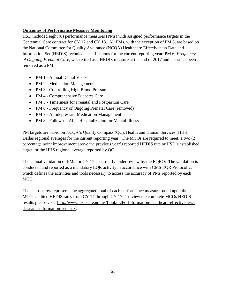# **Outcomes of Performance Measure Monitoring**

HSD included eight (8) performance measures (PMs) with assigned performance targets in the Centennial Care contract for CY 17 and CY 18. All PMs, with the exception of PM 8, are based on the National Committee for Quality Assurance (NCQA) Healthcare Effectiveness Data and Information Set (HEDIS) technical specifications for the current reporting year. PM 6, *Frequency of Ongoing Prenatal Care*, was retired as a HEDIS measure at the end of 2017 and has since been removed as a PM.

- PM 1 Annual Dental Visits
- PM 2 Medication Management
- PM 3 Controlling High Blood Pressure
- PM 4 Comprehensive Diabetes Care
- PM 5 Timeliness for Prenatal and Postpartum Care
- PM 6 Frequency of Ongoing Prenatal Care (removed)
- PM 7 Antidepressant Medication Management
- PM 8 Follow-up After Hospitalization for Mental Illness

PM targets are based on NCQA's Quality Compass (QC), Health and Human Services (HHS) Dallas regional averages for the current reporting year. The MCOs are required to meet; a two (2) percentage point improvement above the previous year's reported HEDIS rate or HSD's established target, or the HHS regional average reported by QC.

The annual validation of PMs for CY 17 is currently under review by the EQRO. The validation is conducted and reported as a mandatory EQR activity in accordance with CMS EQR Protocol 2, which defines the activities and tools necessary to access the accuracy of PMs reported by each MCO.

The chart below represents the aggregated total of each performance measure based upon the MCOs audited HEDIS rates from CY 14 through CY 17. To view the complete MCOs HEDIS results please visit [http://www.hsd.state.nm.us/LookingForInformation/healthcare-effectiveness](http://www.hsd.state.nm.us/LookingForInformation/healthcare-effectiveness-data-and-information-set.aspx)[data-and-information-set.aspx.](http://www.hsd.state.nm.us/LookingForInformation/healthcare-effectiveness-data-and-information-set.aspx)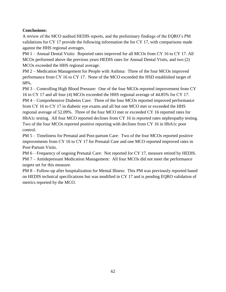A review of the MCO audited HEDIS reports, and the preliminary findings of the EQRO's PM validations for CY 17 provide the following information the for CY 17, with comparisons made against the HHS regional averages.

PM 1 – Annual Dental Visits: Reported rates improved for all MCOs from CY 16 to CY 17. All MCOs performed above the previous years HEDIS rates for Annual Dental Visits, and two (2) MCOs exceeded the HHS regional average.

PM 2 – Medication Management for People with Asthma: Three of the four MCOs improved performance from CY 16 to CY 17. None of the MCO exceeded the HSD established target of 68%.

PM 3 – Controlling High Blood Pressure: One of the four MCOs reported improvement from CY 16 to CY 17 and all four (4) MCOs exceeded the HHS regional average of 44.85% for CY 17. PM 4 – Comprehensive Diabetes Care: Three of the four MCOs reported improved performance from CY 16 to CY 17 in diabetic eye exams and all but one MCO met or exceeded the HHS regional average of 52.09%. Three of the four MCO met or exceeded CY 16 reported rates for HbA1c testing. All four MCO reported declines from CY 16 in reported rates nephropathy testing. Two of the four MCOs reported positive reporting with declines from CY 16 in HbA1c poor control.

PM 5 – Timeliness for Prenatal and Post-partum Care: Two of the four MCOs reported positive improvements from CY 16 to CY 17 for Prenatal Care and one MCO reported improved rates in Post-Partum Visits.

PM 6 – Frequency of ongoing Prenatal Care: Not reported for CY 17, measure retired by HEDIS. PM 7 – Antidepressant Medication Management: All four MCOs did not meet the performance targets set for this measure.

PM 8 – Follow-up after hospitalization for Mental Illness: This PM was previously reported based on HEDIS technical specifications but was modified in CY 17 and is pending EQRO validation of metrics reported by the MCO.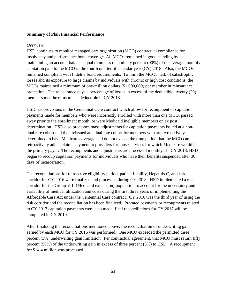### **Summary of Plan Financial Performance**

#### *Overview*

HSD continues to monitor managed care organization (MCO) contractual compliance for insolvency and performance bond coverage. All MCOs remained in good standing by maintaining an account balance equal to no less than ninety percent (90%) of the average monthly capitation paid to the MCO in the fourth quarter of calendar year (CY) 2018. Also, the MCOs remained compliant with Fidelity bond requirements. To limit the MCOs' risk of catastrophic losses and its exposure to large claims by individuals with chronic or high cost conditions, the MCOs maintained a minimum of one-million dollars (\$1,000,000) per member in reinsurance protection. The reinsurance pays a percentage of losses in excess of the deductible; twenty (20) members met the reinsurance deductible in CY 2018.

HSD has provisions in the Centennial Care contract which allow for recoupment of capitation payments made for members who were incorrectly enrolled with more than one MCO, passed away prior to the enrollment month, or were Medicaid ineligible members on ex post determination. HSD also processes mass adjustments for capitation payments issued at a nondual rate cohort and then reissued at a dual rate cohort for members who are retroactively determined to have Medicare coverage and do not exceed the time period that the MCO can retroactively adjust claims payment to providers for those services for which Medicare would be the primary payer. The recoupments and adjustments are processed monthly. In CY 2018, HSD began to recoup capitation payments for individuals who have their benefits suspended after 30 days of incarceration.

The reconciliations for retroactive eligibility period, patient liability, Hepatitis C, and risk corridor for CY 2016 were finalized and processed during CY 2018. HSD implemented a risk corridor for the Group VIII (Medicaid expansion) population to account for the uncertainty and variability of medical utilization and costs during the first three years of implementing the Affordable Care Act under the Centennial Care contract. CY 2016 was the third year of using the risk corridor and the reconciliation has been finalized. Prorated payments or recoupments related to CY 2017 capitation payments were also made; final reconciliations for CY 2017 will be completed in CY 2019.

After finalizing the reconciliations mentioned above, the reconciliation of underwriting gain earned by each MCO for CY 2016 was performed. One MCO exceeded the permitted three percent (3%) underwriting gain limitation. Per contractual agreement, that MCO must return fifty percent (50%) of the underwriting gain in excess of three percent (3%) to HSD. A recoupment for \$14.4 million was processed.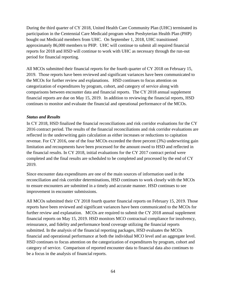During the third quarter of CY 2018, United Health Care Community Plan (UHC) terminated its participation in the Centennial Care Medicaid program when Presbyterian Health Plan (PHP) bought out Medicaid members from UHC. On September 1, 2018, UHC transitioned approximately 86,000 members to PHP. UHC will continue to submit all required financial reports for 2018 and HSD will continue to work with UHC as necessary through the run-out period for financial reporting.

All MCOs submitted their financial reports for the fourth quarter of CY 2018 on February 15, 2019. Those reports have been reviewed and significant variances have been communicated to the MCOs for further review and explanations. HSD continues to focus attention on categorization of expenditures by program, cohort, and category of service along with comparisons between encounter data and financial reports. The CY 2018 annual supplement financial reports are due on May 15, 2019. In addition to reviewing the financial reports, HSD continues to monitor and evaluate the financial and operational performance of the MCOs.

#### *Status and Results*

In CY 2018, HSD finalized the financial reconciliations and risk corridor evaluations for the CY 2016 contract period. The results of the financial reconciliations and risk corridor evaluations are reflected in the underwriting gain calculation as either increases or reductions to capitation revenue. For CY 2016, one of the four MCOs exceeded the three percent (3%) underwriting gain limitation and recoupments have been processed for the amount owed to HSD and reflected in the financial results. In CY 2018, initial evaluations for the CY 2017 contract period were completed and the final results are scheduled to be completed and processed by the end of CY 2019.

Since encounter data expenditures are one of the main sources of information used in the reconciliation and risk corridor determinations, HSD continues to work closely with the MCOs to ensure encounters are submitted in a timely and accurate manner. HSD continues to see improvement in encounter submissions.

All MCOs submitted their CY 2018 fourth quarter financial reports on February 15, 2019. Those reports have been reviewed and significant variances have been communicated to the MCOs for further review and explanation. MCOs are required to submit the CY 2018 annual supplement financial reports on May 15, 2019. HSD monitors MCO contractual compliance for insolvency, reinsurance, and fidelity and performance bond coverage utilizing the financial reports submitted. In the analysis of the financial reporting packages, HSD evaluates the MCOs financial and operational performance at both the individual MCO level and an aggregate level. HSD continues to focus attention on the categorization of expenditures by program, cohort and category of service. Comparison of reported encounter data to financial data also continues to be a focus in the analysis of financial reports.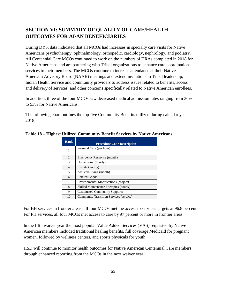# **SECTION VI: SUMMARY OF QUALITY OF CARE/HEALTH OUTCOMES FOR AI/AN BENEFICIARIES**

During DY5, data indicated that all MCOs had increases in specialty care visits for Native Americans psychotherapy, ophthalmology, orthopedic, cardiology, nephrology, and podiatry. All Centennial Care MCOs continued to work on the numbers of HRAs completed in 2018 for Native Americans and are partnering with Tribal organizations to enhance care coordination services to their members. The MCOs continue to increase attendance at their Native American Advisory Board (NAAB) meetings and extend invitations to Tribal leadership, Indian Health Service and community providers to address issues related to benefits, access and delivery of services, and other concerns specifically related to Native American enrollees.

In addition, three of the four MCOs saw decreased medical admission rates ranging from 30% to 53% for Native Americans.

The following chart outlines the top five Community Benefits utilized during calendar year 2018:

| <b>Rank</b> | <b>Procedure Code Description</b>              |
|-------------|------------------------------------------------|
| 1           | Personal Care (per hour)                       |
| 2           | Emergency Response (month)                     |
| 3           | Homemaker (hourly)                             |
| 4           | Respite (hourly)                               |
| 5           | Assisted Living (month)                        |
| 6           | <b>Related Goods</b>                           |
| 7           | Environmental Modifications (project)          |
| 8           | Skilled Maintenance Therapies (hourly)         |
| 9           | <b>Customized Community Supports</b>           |
| 10          | <b>Community Transition Services (service)</b> |

**Table 18 – Highest Utilized Community Benefit Services by Native Americans**

For BH services in frontier areas, all four MCOs met the access to services targets at 96.8 percent. For PH services, all four MCOs met access to care by 97 percent or more in frontier areas.

In the fifth waiver year the most popular Value Added Services (VAS) requested by Native American members included traditional healing benefits, full coverage Medicaid for pregnant women, followed by wellness centers, and sports physicals for youth.

HSD will continue to monitor health outcomes for Native American Centennial Care members through enhanced reporting from the MCOs in the next waiver year.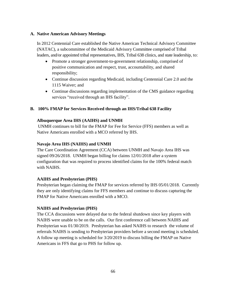#### **A. Native American Advisory Meetings**

In 2012 Centennial Care established the Native American Technical Advisory Committee (NATAC), a subcommittee of the Medicaid Advisory Committee comprised of Tribal leaders, and/or appointed tribal representatives, IHS, Tribal 638 clinics, and state leadership, to:

- Promote a stronger government-to-government relationship, comprised of positive communication and respect, trust, accountability, and shared responsibility;
- Continue discussion regarding Medicaid, including Centennial Care 2.0 and the 1115 Waiver; and
- Continue discussions regarding implementation of the CMS guidance regarding services "received through an IHS facility".

## **B. 100% FMAP for Services Received through an IHS/Tribal 638 Facility**

## **Albuquerque Area IHS (AAIHS) and UNMH**

UNMH continues to bill for the FMAP for Fee for Service (FFS) members as well as Native Americans enrolled with a MCO referred by IHS.

### **Navajo Area IHS (NAIHS) and UNMH**

The Care Coordination Agreement (CCA) between UNMH and Navajo Area IHS was signed 09/26/2018. UNMH began billing for claims 12/01/2018 after a system configuration that was required to process identified claims for the 100% federal match with NAIHS.

### **AAIHS and Presbyterian (PHS)**

Presbyterian began claiming the FMAP for services referred by IHS 05/01/2018. Currently they are only identifying claims for FFS members and continue to discuss capturing the FMAP for Native Americans enrolled with a MCO.

### **NAIHS and Presbyterian (PHS)**

The CCA discussions were delayed due to the federal shutdown since key players with NAIHS were unable to be on the calls. Our first conference call between NAIHS and Presbyterian was 01/30/2019. Presbyterian has asked NAIHS to research the volume of referrals NAIHS is sending to Presbyterian providers before a second meeting is scheduled. A follow up meeting is scheduled for 3/20/2019 to discuss billing the FMAP on Native Americans in FFS that go to PHS for follow up.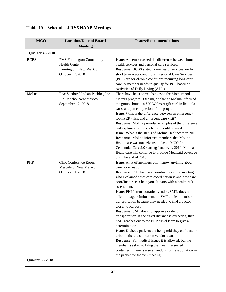# **Table 19 – Schedule of DY5 NAAB Meetings**

| <b>MCO</b>              | <b>Location/Date of Board</b>                                                                         | <b>Issues/Recommendations</b>                                                                                                                                                                                                                                                                                                                                                                                                                                                                                                                                                                                                                                                                                                                                                                                                                                                                                                                                  |
|-------------------------|-------------------------------------------------------------------------------------------------------|----------------------------------------------------------------------------------------------------------------------------------------------------------------------------------------------------------------------------------------------------------------------------------------------------------------------------------------------------------------------------------------------------------------------------------------------------------------------------------------------------------------------------------------------------------------------------------------------------------------------------------------------------------------------------------------------------------------------------------------------------------------------------------------------------------------------------------------------------------------------------------------------------------------------------------------------------------------|
|                         | <b>Meeting</b>                                                                                        |                                                                                                                                                                                                                                                                                                                                                                                                                                                                                                                                                                                                                                                                                                                                                                                                                                                                                                                                                                |
| <b>Quarter 4 - 2018</b> |                                                                                                       |                                                                                                                                                                                                                                                                                                                                                                                                                                                                                                                                                                                                                                                                                                                                                                                                                                                                                                                                                                |
| <b>BCBS</b>             | <b>PMS Farmington Community</b><br><b>Health Center</b><br>Farmington, New Mexico<br>October 17, 2018 | Issue: A member asked the difference between home<br>health services and personal care services.<br>Response: BCBS stated home health services are for<br>short term acute conditions. Personal Care Services                                                                                                                                                                                                                                                                                                                                                                                                                                                                                                                                                                                                                                                                                                                                                  |
|                         |                                                                                                       | (PCS) are for chronic conditions requiring long-term<br>care. A member needs to qualify for PCS based on<br>Activities of Daily Living (ADL).                                                                                                                                                                                                                                                                                                                                                                                                                                                                                                                                                                                                                                                                                                                                                                                                                  |
| Molina                  | Five Sandoval Indian Pueblos, Inc.<br>Rio Rancho, New Mexico<br>September 12, 2018                    | There have been some changes to the Motherhood<br>Matters program. One major change Molina informed<br>the group about is a \$20 Walmart gift card in lieu of a<br>car seat upon completion of the program.<br>Issue: What is the difference between an emergency<br>room (ER) visit and an urgent care visit?<br>Response: Molina provided examples of the difference<br>and explained when each one should be used.<br><b>Issue:</b> What is the status of Molina Healthcare in 2019?<br>Response: Molina informed members that Molina<br>Healthcare was not selected to be an MCO for<br>Centennial Care 2.0 starting January 1, 2019. Molina<br>Healthcare will continue to provide Medicaid coverage<br>until the end of 2018.                                                                                                                                                                                                                            |
| <b>PHP</b>              | <b>CHR Conference Room</b><br>Mescalero, New Mexico<br>October 19, 2018                               | <b>Issue:</b> A lot of members don't know anything about<br>care coordination.<br><b>Response:</b> PHP had care coordinators at the meeting<br>who explained what care coordination is and how care<br>coordinators can help you. It starts with a health risk<br>assessment.<br>Issue: PHP's transportation vendor, SMT, does not<br>offer mileage reimbursement. SMT denied member<br>transportation because they needed to find a doctor<br>closer to Ruidoso.<br>Response: SMT does not approve or deny<br>transportation. If the travel distance is exceeded, then<br>SMT reaches out to the PHP travel team to give a<br>determination.<br>Issue: Diabetic patients are being told they can't eat or<br>drink in the transportation vendor's car.<br>Response: For medical issues it is allowed, but the<br>member is asked to bring the meal in a sealed<br>container. There is also a handout for transportation in<br>the packet for today's meeting. |
| <b>Quarter 3 - 2018</b> |                                                                                                       |                                                                                                                                                                                                                                                                                                                                                                                                                                                                                                                                                                                                                                                                                                                                                                                                                                                                                                                                                                |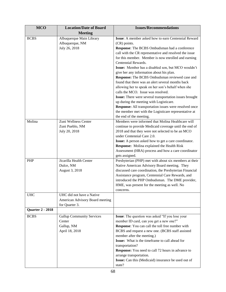| <b>MCO</b>              | <b>Location/Date of Board</b>    | <b>Issues/Recommendations</b>                                                                                   |
|-------------------------|----------------------------------|-----------------------------------------------------------------------------------------------------------------|
|                         | <b>Meeting</b>                   |                                                                                                                 |
| <b>BCBS</b>             | Albuquerque Main Library         | Issue: A member asked how to earn Centennial Reward                                                             |
|                         | Albuquerque, NM                  | (CR) points.                                                                                                    |
|                         | July 26, 2018                    | <b>Response:</b> The BCBS Ombudsman had a conference                                                            |
|                         |                                  | call with the CR representative and resolved the issue                                                          |
|                         |                                  | for this member. Member is now enrolled and earning                                                             |
|                         |                                  | Centennial Rewards.                                                                                             |
|                         |                                  | Issue: Member has a disabled son, but MCO wouldn't                                                              |
|                         |                                  | give her any information about his plan.                                                                        |
|                         |                                  | Response: The BCBS Ombudsman reviewed case and                                                                  |
|                         |                                  | found that there was an alert several months back                                                               |
|                         |                                  | allowing her to speak on her son's behalf when she                                                              |
|                         |                                  | calls the MCO. Issue was resolved.                                                                              |
|                         |                                  | <b>Issue:</b> There were several transportation issues brought                                                  |
|                         |                                  | up during the meeting with Logisticare.                                                                         |
|                         |                                  | Response: All transportation issues were resolved once<br>the member met with the Logisticare representative at |
|                         |                                  | the end of the meeting.                                                                                         |
| Molina                  | Zuni Wellness Center             | Members were informed that Molina Healthcare will                                                               |
|                         | Zuni Pueblo, NM                  | continue to provide Medicaid coverage until the end of                                                          |
|                         | July 20, 2018                    | 2018 and that they were not selected to be an MCO                                                               |
|                         |                                  | under Centennial Care 2.0.                                                                                      |
|                         |                                  | Issue: A person asked how to get a care coordinator.                                                            |
|                         |                                  | Response: Molina explained the Health Risk                                                                      |
|                         |                                  | Assessment (HRA) process and how a care coordinator                                                             |
|                         |                                  | gets assigned.                                                                                                  |
| PHP                     | Jicarilla Health Center          | Presbyterian (PHP) met with about six members at their                                                          |
|                         | Dulce, NM                        | Native American Advisory Board meeting. They                                                                    |
|                         | August 3, 2018                   | discussed care coordination, the Presbyterian Financial                                                         |
|                         |                                  | Assistance program, Centennial Care Rewards, and                                                                |
|                         |                                  | introduced the PHP Ombudsman. The DME provider,                                                                 |
|                         |                                  | HME, was present for the meeting as well. No                                                                    |
|                         |                                  | concerns.                                                                                                       |
| <b>UHC</b>              | UHC did not have a Native        |                                                                                                                 |
|                         | American Advisory Board meeting  |                                                                                                                 |
| <b>Quarter 2 - 2018</b> | for Quarter 3.                   |                                                                                                                 |
|                         |                                  |                                                                                                                 |
| <b>BCBS</b>             | <b>Gallup Community Services</b> | Issue: The question was asked "If you lose your                                                                 |
|                         | Center                           | member ID card, can you get a new one?"                                                                         |
|                         | Gallup, NM                       | Response: You can call the toll free number with                                                                |
|                         | April 18, 2018                   | BCBS and request a new one. (BCBS staff assisted<br>member after the meeting.)                                  |
|                         |                                  | Issue: What is the timeframe to call ahead for                                                                  |
|                         |                                  | transportation?                                                                                                 |
|                         |                                  | Response: You need to call 72 hours in advance to                                                               |
|                         |                                  | arrange transportation.                                                                                         |
|                         |                                  | Issue: Can this (Medicaid) insurance be used out of                                                             |
|                         |                                  | state?                                                                                                          |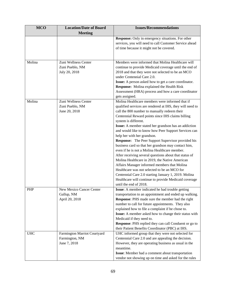| <b>MCO</b> | <b>Location/Date of Board</b> | <b>Issues/Recommendations</b>                                     |  |
|------------|-------------------------------|-------------------------------------------------------------------|--|
|            | <b>Meeting</b>                |                                                                   |  |
|            |                               | Response: Only in emergency situations. For other                 |  |
|            |                               | services, you will need to call Customer Service ahead            |  |
|            |                               | of time because it might not be covered.                          |  |
|            |                               |                                                                   |  |
| Molina     | Zuni Wellness Center          | Members were informed that Molina Healthcare will                 |  |
|            | Zuni Pueblo, NM               | continue to provide Medicaid coverage until the end of            |  |
|            | July 20, 2018                 | 2018 and that they were not selected to be an MCO                 |  |
|            |                               | under Centennial Care 2.0.                                        |  |
|            |                               | Issue: A person asked how to get a care coordinator.              |  |
|            |                               | Response: Molina explained the Health Risk                        |  |
|            |                               | Assessment (HRA) process and how a care coordinator               |  |
|            |                               | gets assigned.                                                    |  |
| Molina     | Zuni Wellness Center          | Molina Healthcare members were informed that if                   |  |
|            | Zuni Pueblo, NM               | qualified services are rendered at IHS, they will need to         |  |
|            | June 20, 2018                 | call the 800 number to manually redeem their                      |  |
|            |                               | Centennial Reward points since IHS claims billing                 |  |
|            |                               | system is different.                                              |  |
|            |                               | Issue: A member stated her grandson has an addiction              |  |
|            |                               | and would like to know how Peer Support Services can              |  |
|            |                               | help her with her grandson.                                       |  |
|            |                               | <b>Response:</b> The Peer Support Supervisor provided his         |  |
|            |                               | business card so that her grandson may contact him,               |  |
|            |                               | even if he is not a Molina Healthcare member.                     |  |
|            |                               | After receiving several questions about that status of            |  |
|            |                               | Molina Healthcare in 2019, the Native American                    |  |
|            |                               | Affairs Manager informed members that Molina                      |  |
|            |                               | Healthcare was not selected to be an MCO for                      |  |
|            |                               | Centennial Care 2.0 starting January 1, 2019. Molina              |  |
|            |                               | Healthcare will continue to provide Medicaid coverage             |  |
|            |                               | until the end of 2018.                                            |  |
| PHP        | New Mexico Cancer Center      | Issue: A member indicated he had trouble getting                  |  |
|            | Gallup, NM                    | transportation to an appointment and ended up walking.            |  |
|            | April 20, 2018                | Response: PHS made sure the member had the right                  |  |
|            |                               | number to call for future appointments. They also                 |  |
|            |                               | explained how to file a complaint if he chose to.                 |  |
|            |                               | Issue: A member asked how to change their status with             |  |
|            |                               | Medicaid if they need to.                                         |  |
|            |                               | Response: PHS replied they can call Conduent or go to             |  |
|            |                               | their Patient Benefits Coordinator (PBC) at IHS.                  |  |
| <b>UHC</b> | Farmington Marriot Courtyard  | UHC informed group that they were not selected for                |  |
|            | Farmington, NM                | Centennial Care 2.0 and are appealing the decision.               |  |
|            | June 7, 2018                  | However, they are operating business as usual in the<br>meantime. |  |
|            |                               | Issue: Member had a comment about transportation                  |  |
|            |                               | vendor not showing up on time and asked for the rules             |  |
|            |                               |                                                                   |  |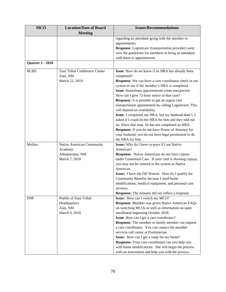| <b>MCO</b>              | <b>Location/Date of Board</b> | <b>Issues/Recommendations</b>                               |  |
|-------------------------|-------------------------------|-------------------------------------------------------------|--|
|                         | <b>Meeting</b>                |                                                             |  |
|                         |                               | regarding an attendant going with the member to             |  |
|                         |                               | appointments.                                               |  |
|                         |                               | Response: Logisticare (transportation provider) went        |  |
|                         |                               | over the guidelines for members to bring an attendant       |  |
|                         |                               | with them to appointments.                                  |  |
| <b>Quarter 1 - 2018</b> |                               |                                                             |  |
| <b>BCBS</b>             | Zuni Tribal Conference Center | Issue: How do we know if an HRA has already been            |  |
|                         | Zuni, NM                      | completed?                                                  |  |
|                         | March 22, 2018                | Response: We can have a care coordinator check in our       |  |
|                         |                               | system to see if the member's HRA is completed.             |  |
|                         |                               | Issue: Sometimes appointments come unexpected.              |  |
|                         |                               | How can I give 72-hour notice in that case?                 |  |
|                         |                               | <b>Response:</b> It is possible to get an urgent care       |  |
|                         |                               | transportation appointment by calling Logisticare. This     |  |
|                         |                               | will depend on availability.                                |  |
|                         |                               | Issue: I completed my HRA, but my husband didn't. I         |  |
|                         |                               | asked if I could do the HRA for him and they told me        |  |
|                         |                               | no. Since that time, he has not completed an HRA.           |  |
|                         |                               | Response: If you do not have Power of Attorney for          |  |
|                         |                               | your husband, you do not have legal permission to do        |  |
|                         |                               | the HRA for him.                                            |  |
| Molina                  | Native American Community     | Issue: Why do I have co-pays if I am Native                 |  |
|                         | Academy                       | American?                                                   |  |
|                         | Albuquerque, NM               | Response: Native Americans do not have copays               |  |
|                         | March 7, 2018                 | under Centennial Care. If your card is showing copays,      |  |
|                         |                               | you may not be entered in the system as Native<br>American. |  |
|                         |                               | Issue: I have the DD Waiver. How do I qualify for           |  |
|                         |                               | Community Benefits because I need home                      |  |
|                         |                               | modifications, medical equipment, and personal care         |  |
|                         |                               | services.                                                   |  |
|                         |                               | <b>Response:</b> The minutes did not reflect a response.    |  |
| PHP                     | Pueblo of Zuni Tribal         | <b>Issue:</b> How can I switch my MCO?                      |  |
|                         | Headquarters                  | Response: Member was given Native American FAQs             |  |
|                         | Zuni, NM                      | on switching MCOs as well as information on open            |  |
|                         | March 9, 2018                 | enrollment beginning October 2018.                          |  |
|                         |                               | Issue: How can I get a care coordinator?                    |  |
|                         |                               | <b>Response:</b> The member or family member can request    |  |
|                         |                               | a care coordinator. You can contact the member              |  |
|                         |                               | services call center at Presbyterian.                       |  |
|                         |                               | Issue: How can I get a ramp for my home?                    |  |
|                         |                               | Response: Your care coordinator can you help you            |  |
|                         |                               | with home modifications. She will begin the process         |  |
|                         |                               | with an assessment and help you with the process.           |  |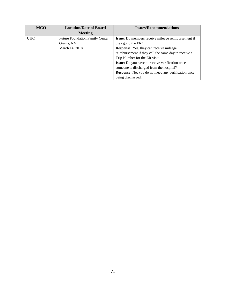| <b>MCO</b> | <b>Location/Date of Board</b>                                    | <b>Issues/Recommendations</b>                              |  |
|------------|------------------------------------------------------------------|------------------------------------------------------------|--|
|            | <b>Meeting</b>                                                   |                                                            |  |
| <b>UHC</b> | <b>Future Foundation Family Center</b>                           | <b>Issue:</b> Do members receive mileage reimbursement if  |  |
|            | Grants, NM                                                       | they go to the ER?                                         |  |
|            | March 14, 2018<br><b>Response:</b> Yes, they can receive mileage |                                                            |  |
|            |                                                                  | reimbursement if they call the same day to receive a       |  |
|            |                                                                  | Trip Number for the ER visit.                              |  |
|            |                                                                  | Issue: Do you have to receive verification once            |  |
|            |                                                                  | someone is discharged from the hospital?                   |  |
|            |                                                                  | <b>Response:</b> No, you do not need any verification once |  |
|            |                                                                  | being discharged.                                          |  |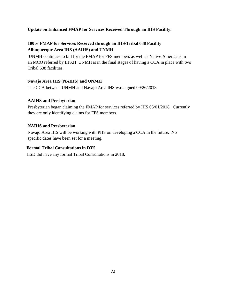#### **Update on Enhanced FMAP for Services Received Through an IHS Facility:**

## **100% FMAP for Services Received through an IHS/Tribal 638 Facility Albuquerque Area IHS (AAIHS) and UNMH**

UNMH continues to bill for the FMAP for FFS members as well as Native Americans in an MCO referred by IHS.H UNMH is in the final stages of having a CCA in place with two Tribal 638 facilities.

#### **Navajo Area IHS (NAIHS) and UNMH**

The CCA between UNMH and Navajo Area IHS was signed 09/26/2018.

#### **AAIHS and Presbyterian**

Presbyterian began claiming the FMAP for services referred by IHS 05/01/2018. Currently they are only identifying claims for FFS members.

#### **NAIHS and Presbyterian**

Navajo Area IHS will be working with PHS on developing a CCA in the future. No specific dates have been set for a meeting.

#### **Formal Tribal Consultations in DY5**

HSD did have any formal Tribal Consultations in 2018.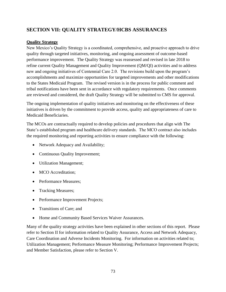## **SECTION VII: QUALITY STRATEGY/HCBS ASSURANCES**

#### **Quality Strategy**

New Mexico's Quality Strategy is a coordinated, comprehensive, and proactive approach to drive quality through targeted initiatives, monitoring, and ongoing assessment of outcome-based performance improvement. The Quality Strategy was reassessed and revised in late 2018 to refine current Quality Management and Quality Improvement (QM/QI) activities and to address new and ongoing initiatives of Centennial Care 2.0. The revisions build upon the program's accomplishments and maximize opportunities for targeted improvements and other modifications to the States Medicaid Program. The revised version is in the process for public comment and tribal notifications have been sent in accordance with regulatory requirements. Once comments are reviewed and considered, the draft Quality Strategy will be submitted to CMS for approval.

The ongoing implementation of quality initiatives and monitoring on the effectiveness of these initiatives is driven by the commitment to provide access, quality and appropriateness of care to Medicaid Beneficiaries.

The MCOs are contractually required to develop policies and procedures that align with The State's established program and healthcare delivery standards. The MCO contract also includes the required monitoring and reporting activities to ensure compliance with the following:

- Network Adequacy and Availability;
- Continuous Quality Improvement;
- Utilization Management;
- MCO Accreditation:
- Performance Measures;
- Tracking Measures;
- Performance Improvement Projects;
- Transitions of Care: and
- Home and Community Based Services Waiver Assurances.

Many of the quality strategy activities have been explained in other sections of this report. Please refer to Section II for information related to Quality Assurance, Access and Network Adequacy, Care Coordination and Adverse Incidents Monitoring. For information on activities related to; Utilization Management; Performance Measure Monitoring; Performance Improvement Projects; and Member Satisfaction, please refer to Section V.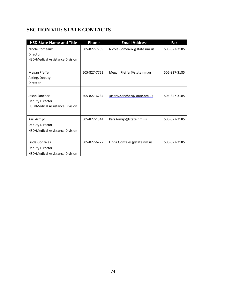# **SECTION VIII: STATE CONTACTS**

| <b>HSD State Name and Title</b> | <b>Phone</b> | <b>Email Address</b>       | Fax          |
|---------------------------------|--------------|----------------------------|--------------|
| Nicole Comeaux                  | 505-827-7709 | Nicole.Comeaux@state.nm.us | 505-827-3185 |
| Director                        |              |                            |              |
| HSD/Medical Assistance Division |              |                            |              |
|                                 |              |                            |              |
| Megan Pfeffer                   | 505-827-7722 | Megan.Pfeffer@state.nm.us  | 505-827-3185 |
| Acting, Deputy                  |              |                            |              |
| Director                        |              |                            |              |
|                                 |              |                            |              |
| Jason Sanchez                   | 505-827-6234 | JasonS.Sanchez@state.nm.us | 505-827-3185 |
| Deputy Director                 |              |                            |              |
| HSD/Medical Assistance Division |              |                            |              |
|                                 |              |                            |              |
| Kari Armijo                     | 505-827-1344 | Kari.Armijo@state.nm.us    | 505-827-3185 |
| Deputy Director                 |              |                            |              |
| HSD/Medical Assistance Division |              |                            |              |
|                                 |              |                            |              |
| Linda Gonzales                  | 505-827-6222 | Linda.Gonzales@state.nm.us | 505-827-3185 |
| Deputy Director                 |              |                            |              |
| HSD/Medical Assistance Division |              |                            |              |